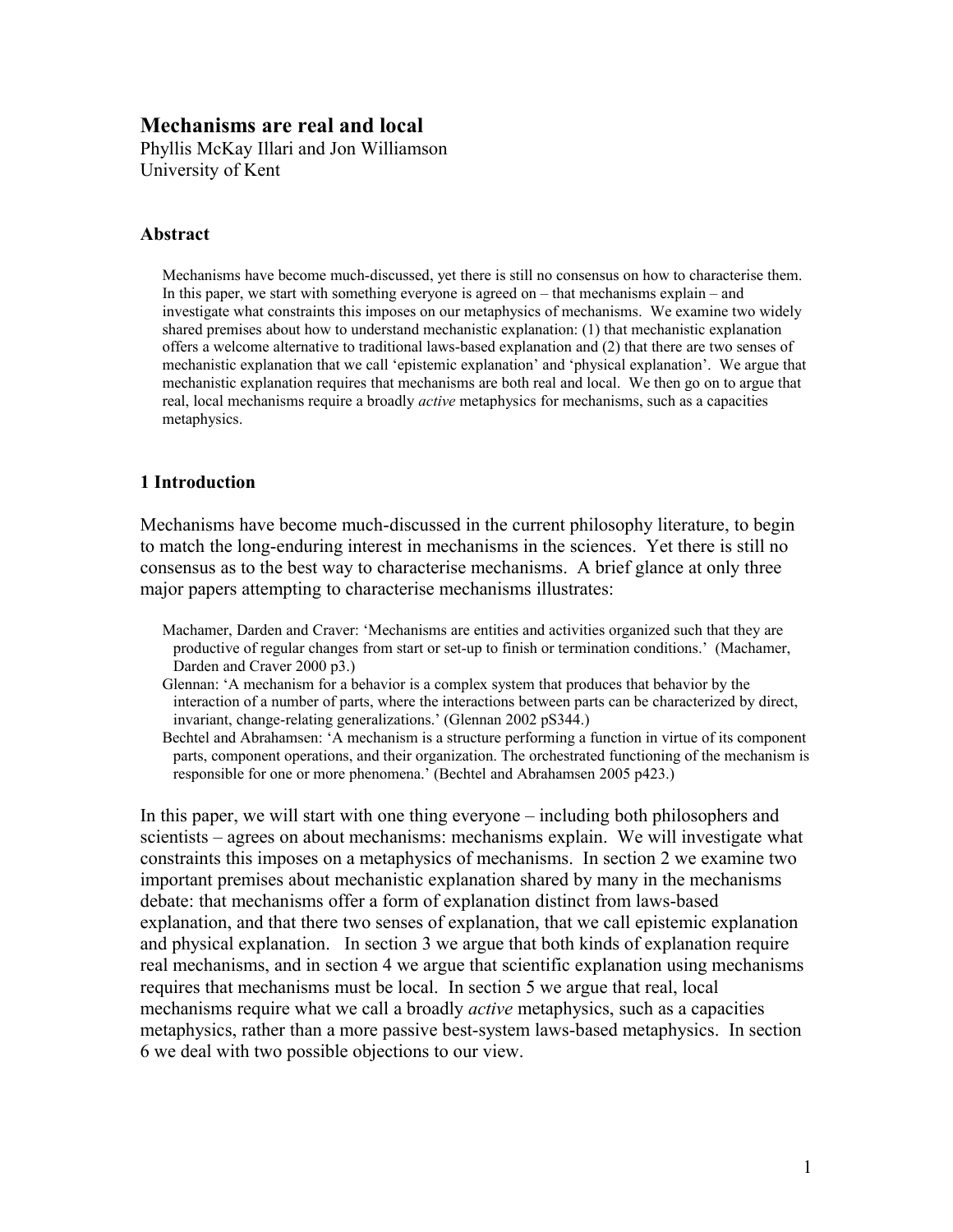### **Mechanisms are real and local**

Phyllis McKay Illari and Jon Williamson University of Kent

#### **Abstract**

Mechanisms have become much-discussed, yet there is still no consensus on how to characterise them. In this paper, we start with something everyone is agreed on – that mechanisms explain – and investigate what constraints this imposes on our metaphysics of mechanisms. We examine two widely shared premises about how to understand mechanistic explanation: (1) that mechanistic explanation offers a welcome alternative to traditional laws-based explanation and (2) that there are two senses of mechanistic explanation that we call 'epistemic explanation' and 'physical explanation'. We argue that mechanistic explanation requires that mechanisms are both real and local. We then go on to argue that real, local mechanisms require a broadly *active* metaphysics for mechanisms, such as a capacities metaphysics.

#### **1 Introduction**

Mechanisms have become much-discussed in the current philosophy literature, to begin to match the long-enduring interest in mechanisms in the sciences. Yet there is still no consensus as to the best way to characterise mechanisms. A brief glance at only three major papers attempting to characterise mechanisms illustrates:

Machamer, Darden and Craver: 'Mechanisms are entities and activities organized such that they are productive of regular changes from start or set-up to finish or termination conditions.' (Machamer, Darden and Craver 2000 p3.)

Glennan: 'A mechanism for a behavior is a complex system that produces that behavior by the interaction of a number of parts, where the interactions between parts can be characterized by direct, invariant, change-relating generalizations.' (Glennan 2002 pS344.)

Bechtel and Abrahamsen: 'A mechanism is a structure performing a function in virtue of its component parts, component operations, and their organization. The orchestrated functioning of the mechanism is responsible for one or more phenomena.' (Bechtel and Abrahamsen 2005 p423.)

In this paper, we will start with one thing everyone – including both philosophers and scientists – agrees on about mechanisms: mechanisms explain. We will investigate what constraints this imposes on a metaphysics of mechanisms. In section 2 we examine two important premises about mechanistic explanation shared by many in the mechanisms debate: that mechanisms offer a form of explanation distinct from laws-based explanation, and that there two senses of explanation, that we call epistemic explanation and physical explanation. In section 3 we argue that both kinds of explanation require real mechanisms, and in section 4 we argue that scientific explanation using mechanisms requires that mechanisms must be local. In section 5 we argue that real, local mechanisms require what we call a broadly *active* metaphysics, such as a capacities metaphysics, rather than a more passive best-system laws-based metaphysics. In section 6 we deal with two possible objections to our view.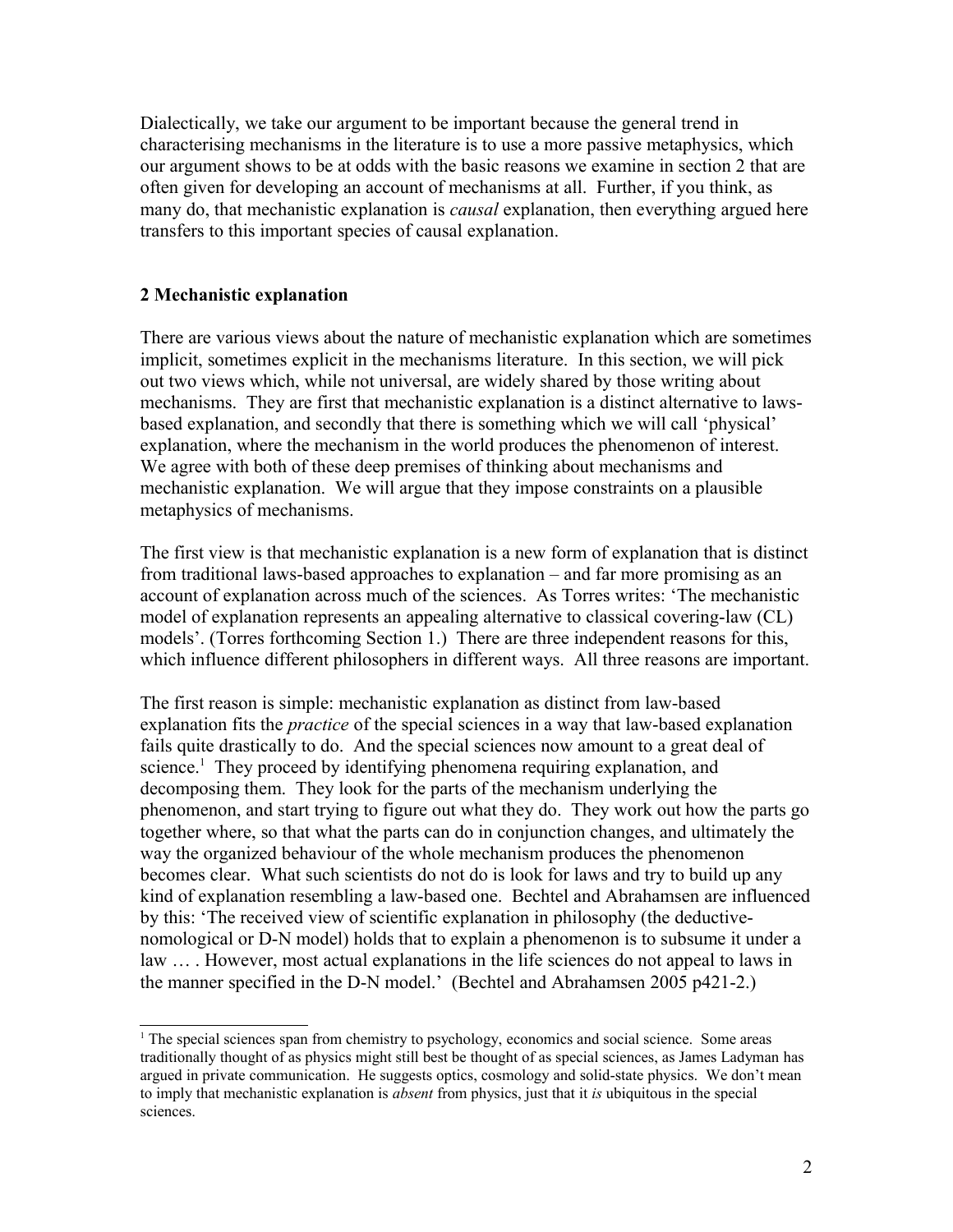Dialectically, we take our argument to be important because the general trend in characterising mechanisms in the literature is to use a more passive metaphysics, which our argument shows to be at odds with the basic reasons we examine in section 2 that are often given for developing an account of mechanisms at all. Further, if you think, as many do, that mechanistic explanation is *causal* explanation, then everything argued here transfers to this important species of causal explanation.

### **2 Mechanistic explanation**

There are various views about the nature of mechanistic explanation which are sometimes implicit, sometimes explicit in the mechanisms literature. In this section, we will pick out two views which, while not universal, are widely shared by those writing about mechanisms. They are first that mechanistic explanation is a distinct alternative to lawsbased explanation, and secondly that there is something which we will call 'physical' explanation, where the mechanism in the world produces the phenomenon of interest. We agree with both of these deep premises of thinking about mechanisms and mechanistic explanation. We will argue that they impose constraints on a plausible metaphysics of mechanisms.

The first view is that mechanistic explanation is a new form of explanation that is distinct from traditional laws-based approaches to explanation – and far more promising as an account of explanation across much of the sciences. As Torres writes: 'The mechanistic model of explanation represents an appealing alternative to classical covering-law (CL) models'. (Torres forthcoming Section 1.) There are three independent reasons for this, which influence different philosophers in different ways. All three reasons are important.

The first reason is simple: mechanistic explanation as distinct from law-based explanation fits the *practice* of the special sciences in a way that law-based explanation fails quite drastically to do. And the special sciences now amount to a great deal of science.<sup>[1](#page-1-0)</sup> They proceed by identifying phenomena requiring explanation, and decomposing them. They look for the parts of the mechanism underlying the phenomenon, and start trying to figure out what they do. They work out how the parts go together where, so that what the parts can do in conjunction changes, and ultimately the way the organized behaviour of the whole mechanism produces the phenomenon becomes clear. What such scientists do not do is look for laws and try to build up any kind of explanation resembling a law-based one. Bechtel and Abrahamsen are influenced by this: 'The received view of scientific explanation in philosophy (the deductivenomological or D-N model) holds that to explain a phenomenon is to subsume it under a law … . However, most actual explanations in the life sciences do not appeal to laws in the manner specified in the D-N model.' (Bechtel and Abrahamsen 2005 p421-2.)

<span id="page-1-0"></span><sup>&</sup>lt;sup>1</sup> The special sciences span from chemistry to psychology, economics and social science. Some areas traditionally thought of as physics might still best be thought of as special sciences, as James Ladyman has argued in private communication. He suggests optics, cosmology and solid-state physics. We don't mean to imply that mechanistic explanation is *absent* from physics, just that it *is* ubiquitous in the special sciences.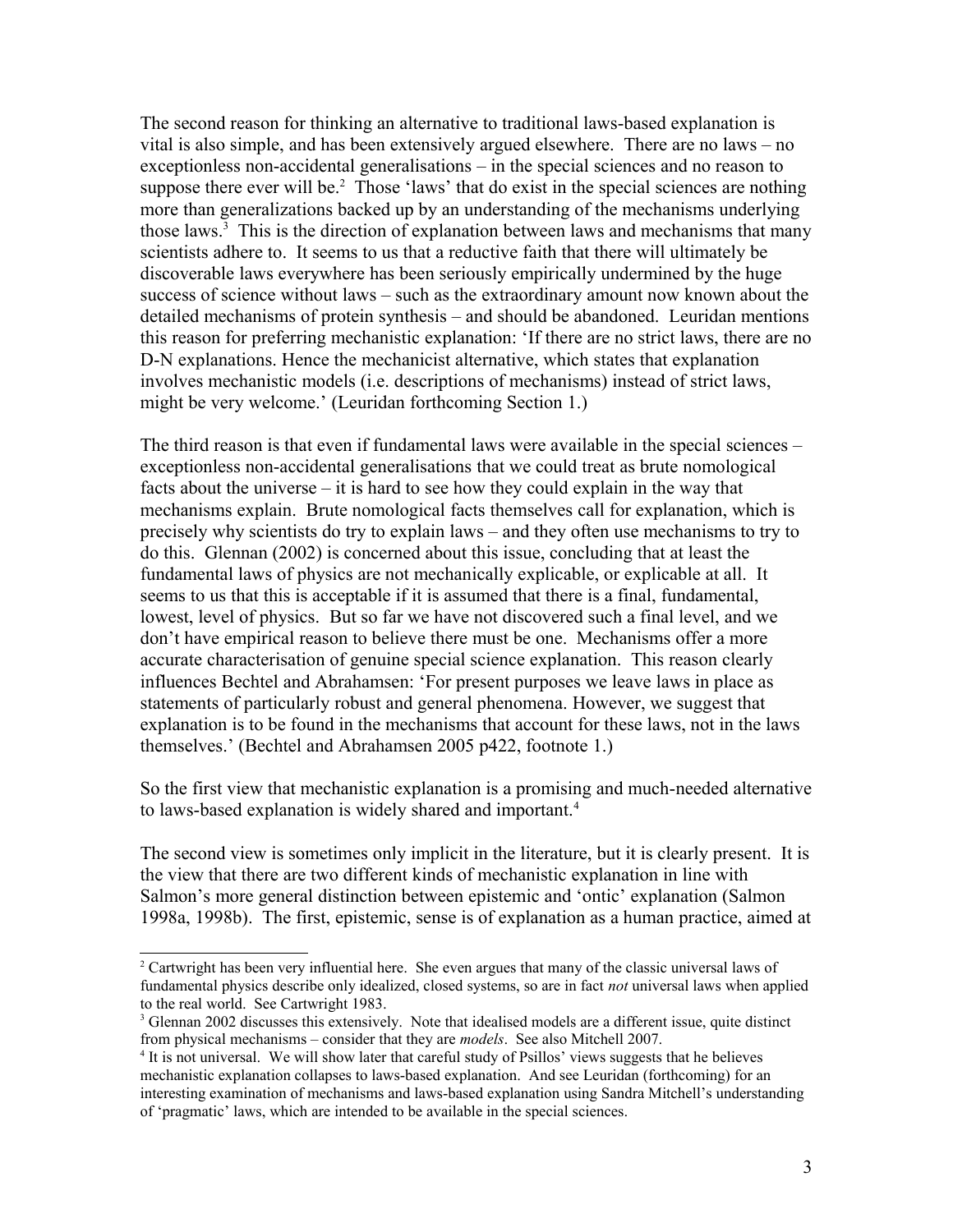The second reason for thinking an alternative to traditional laws-based explanation is vital is also simple, and has been extensively argued elsewhere. There are no laws – no exceptionless non-accidental generalisations – in the special sciences and no reason to suppose there ever will be. $<sup>2</sup>$  $<sup>2</sup>$  $<sup>2</sup>$  Those 'laws' that do exist in the special sciences are nothing</sup> more than generalizations backed up by an understanding of the mechanisms underlying those laws.<sup>[3](#page-2-1)</sup> This is the direction of explanation between laws and mechanisms that many scientists adhere to. It seems to us that a reductive faith that there will ultimately be discoverable laws everywhere has been seriously empirically undermined by the huge success of science without laws – such as the extraordinary amount now known about the detailed mechanisms of protein synthesis – and should be abandoned. Leuridan mentions this reason for preferring mechanistic explanation: 'If there are no strict laws, there are no D-N explanations. Hence the mechanicist alternative, which states that explanation involves mechanistic models (i.e. descriptions of mechanisms) instead of strict laws, might be very welcome.' (Leuridan forthcoming Section 1.)

The third reason is that even if fundamental laws were available in the special sciences – exceptionless non-accidental generalisations that we could treat as brute nomological facts about the universe – it is hard to see how they could explain in the way that mechanisms explain. Brute nomological facts themselves call for explanation, which is precisely why scientists do try to explain laws – and they often use mechanisms to try to do this. Glennan (2002) is concerned about this issue, concluding that at least the fundamental laws of physics are not mechanically explicable, or explicable at all. It seems to us that this is acceptable if it is assumed that there is a final, fundamental, lowest, level of physics. But so far we have not discovered such a final level, and we don't have empirical reason to believe there must be one. Mechanisms offer a more accurate characterisation of genuine special science explanation. This reason clearly influences Bechtel and Abrahamsen: 'For present purposes we leave laws in place as statements of particularly robust and general phenomena. However, we suggest that explanation is to be found in the mechanisms that account for these laws, not in the laws themselves.' (Bechtel and Abrahamsen 2005 p422, footnote 1.)

So the first view that mechanistic explanation is a promising and much-needed alternative to laws-based explanation is widely shared and important.<sup>[4](#page-2-2)</sup>

The second view is sometimes only implicit in the literature, but it is clearly present. It is the view that there are two different kinds of mechanistic explanation in line with Salmon's more general distinction between epistemic and 'ontic' explanation (Salmon 1998a, 1998b). The first, epistemic, sense is of explanation as a human practice, aimed at

<span id="page-2-0"></span><sup>&</sup>lt;sup>2</sup> Cartwright has been very influential here. She even argues that many of the classic universal laws of fundamental physics describe only idealized, closed systems, so are in fact *not* universal laws when applied to the real world. See Cartwright 1983.

<span id="page-2-1"></span><sup>&</sup>lt;sup>3</sup> Glennan 2002 discusses this extensively. Note that idealised models are a different issue, quite distinct from physical mechanisms – consider that they are *models*. See also Mitchell 2007.

<span id="page-2-2"></span><sup>&</sup>lt;sup>4</sup> It is not universal. We will show later that careful study of Psillos' views suggests that he believes mechanistic explanation collapses to laws-based explanation. And see Leuridan (forthcoming) for an interesting examination of mechanisms and laws-based explanation using Sandra Mitchell's understanding of 'pragmatic' laws, which are intended to be available in the special sciences.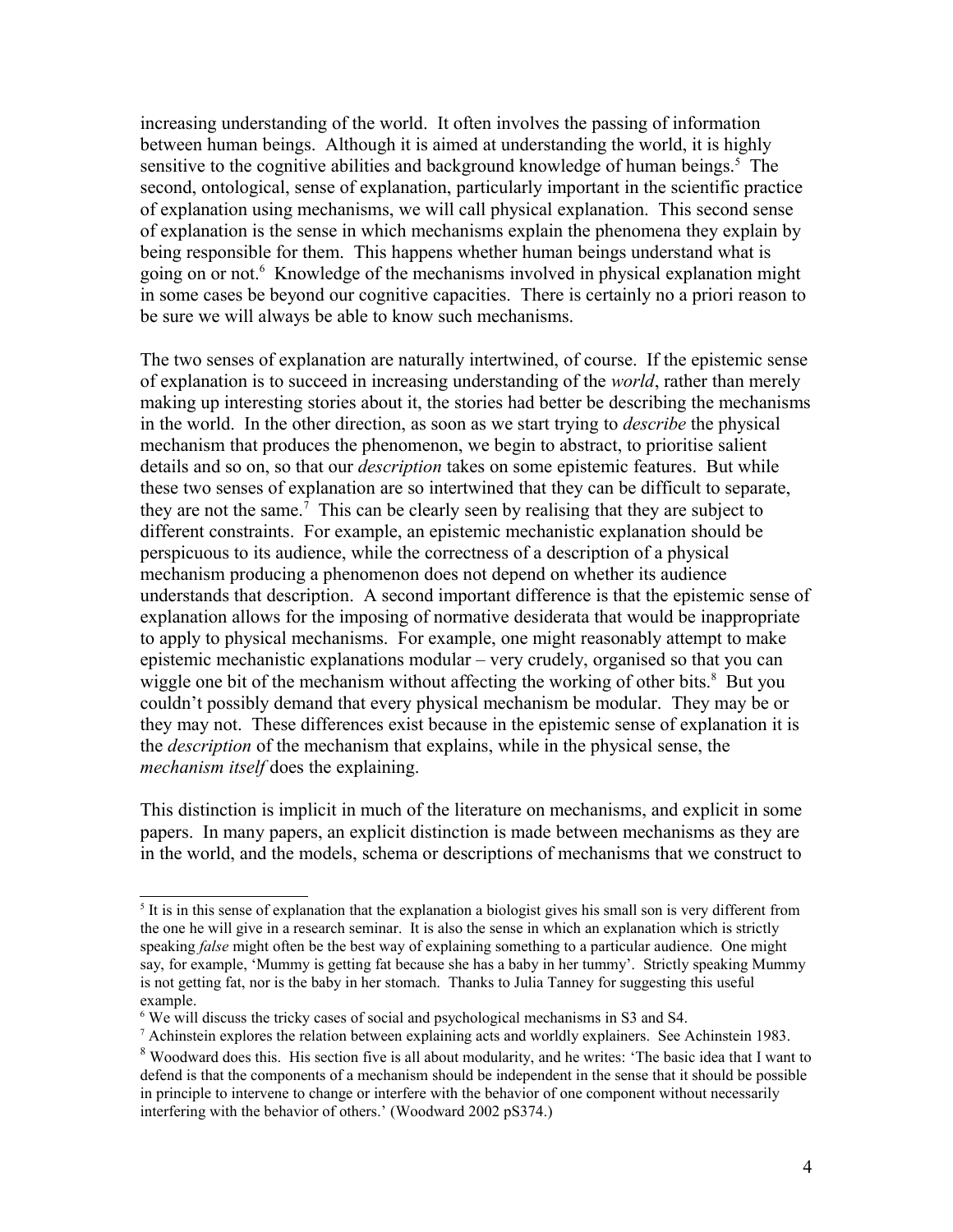increasing understanding of the world. It often involves the passing of information between human beings. Although it is aimed at understanding the world, it is highly sensitive to the cognitive abilities and background knowledge of human beings.<sup>[5](#page-3-0)</sup> The second, ontological, sense of explanation, particularly important in the scientific practice of explanation using mechanisms, we will call physical explanation. This second sense of explanation is the sense in which mechanisms explain the phenomena they explain by being responsible for them. This happens whether human beings understand what is going on or not.[6](#page-3-1) Knowledge of the mechanisms involved in physical explanation might in some cases be beyond our cognitive capacities. There is certainly no a priori reason to be sure we will always be able to know such mechanisms.

The two senses of explanation are naturally intertwined, of course. If the epistemic sense of explanation is to succeed in increasing understanding of the *world*, rather than merely making up interesting stories about it, the stories had better be describing the mechanisms in the world. In the other direction, as soon as we start trying to *describe* the physical mechanism that produces the phenomenon, we begin to abstract, to prioritise salient details and so on, so that our *description* takes on some epistemic features. But while these two senses of explanation are so intertwined that they can be difficult to separate, they are not the same.<sup>[7](#page-3-2)</sup> This can be clearly seen by realising that they are subject to different constraints. For example, an epistemic mechanistic explanation should be perspicuous to its audience, while the correctness of a description of a physical mechanism producing a phenomenon does not depend on whether its audience understands that description. A second important difference is that the epistemic sense of explanation allows for the imposing of normative desiderata that would be inappropriate to apply to physical mechanisms. For example, one might reasonably attempt to make epistemic mechanistic explanations modular – very crudely, organised so that you can wiggle one bit of the mechanism without affecting the working of other bits. $8$  But you couldn't possibly demand that every physical mechanism be modular. They may be or they may not. These differences exist because in the epistemic sense of explanation it is the *description* of the mechanism that explains, while in the physical sense, the *mechanism itself* does the explaining.

This distinction is implicit in much of the literature on mechanisms, and explicit in some papers. In many papers, an explicit distinction is made between mechanisms as they are in the world, and the models, schema or descriptions of mechanisms that we construct to

<span id="page-3-0"></span> $<sup>5</sup>$  It is in this sense of explanation that the explanation a biologist gives his small son is very different from</sup> the one he will give in a research seminar. It is also the sense in which an explanation which is strictly speaking *false* might often be the best way of explaining something to a particular audience. One might say, for example, 'Mummy is getting fat because she has a baby in her tummy'. Strictly speaking Mummy is not getting fat, nor is the baby in her stomach. Thanks to Julia Tanney for suggesting this useful example.

<span id="page-3-1"></span><sup>&</sup>lt;sup>6</sup> We will discuss the tricky cases of social and psychological mechanisms in S3 and S4.

<span id="page-3-2"></span><sup>7</sup> Achinstein explores the relation between explaining acts and worldly explainers. See Achinstein 1983.

<span id="page-3-3"></span><sup>8</sup> Woodward does this. His section five is all about modularity, and he writes: 'The basic idea that I want to defend is that the components of a mechanism should be independent in the sense that it should be possible in principle to intervene to change or interfere with the behavior of one component without necessarily interfering with the behavior of others.' (Woodward 2002 pS374.)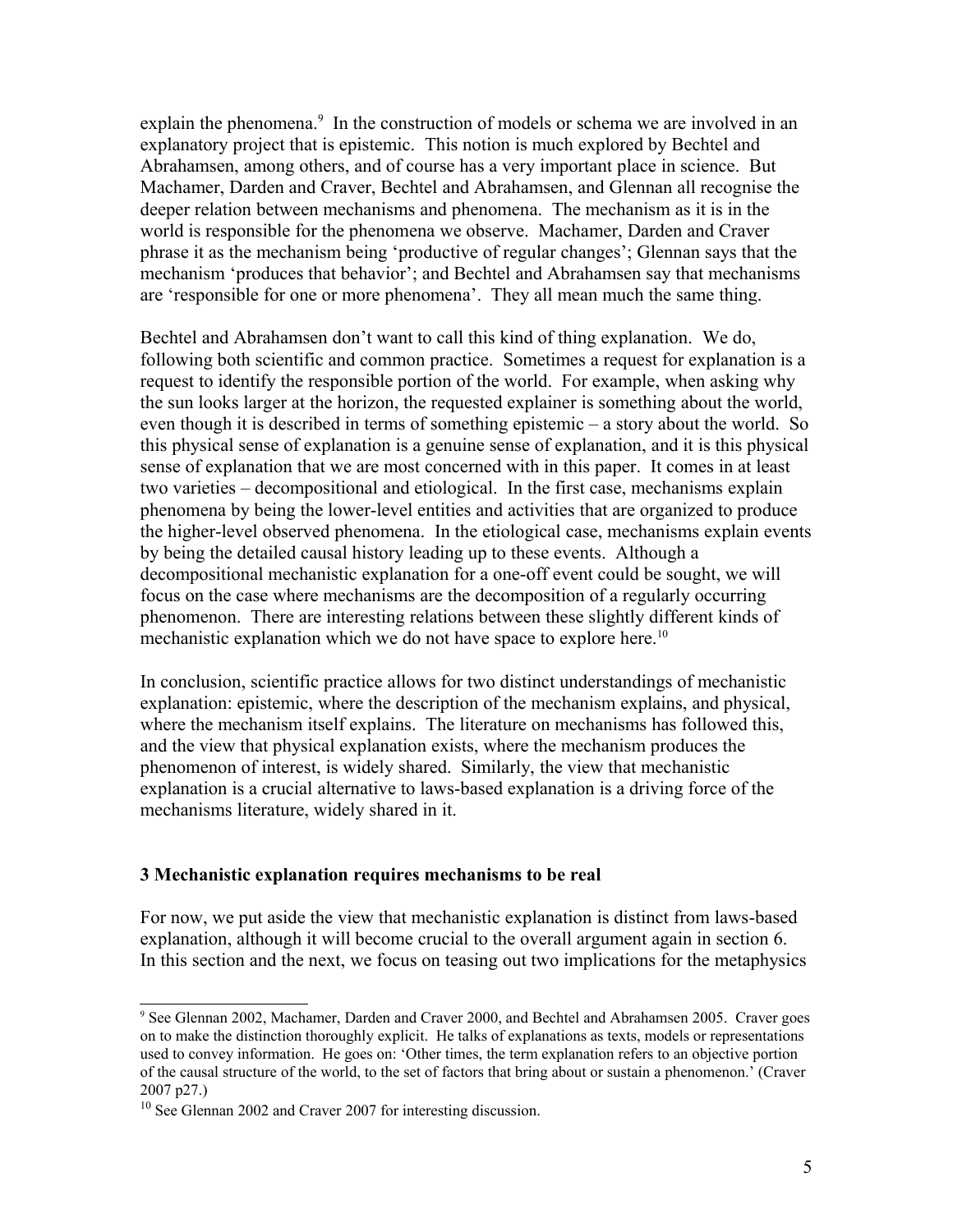explain the phenomena.<sup>[9](#page-4-0)</sup> In the construction of models or schema we are involved in an explanatory project that is epistemic. This notion is much explored by Bechtel and Abrahamsen, among others, and of course has a very important place in science. But Machamer, Darden and Craver, Bechtel and Abrahamsen, and Glennan all recognise the deeper relation between mechanisms and phenomena. The mechanism as it is in the world is responsible for the phenomena we observe. Machamer, Darden and Craver phrase it as the mechanism being 'productive of regular changes'; Glennan says that the mechanism 'produces that behavior'; and Bechtel and Abrahamsen say that mechanisms are 'responsible for one or more phenomena'. They all mean much the same thing.

Bechtel and Abrahamsen don't want to call this kind of thing explanation. We do, following both scientific and common practice. Sometimes a request for explanation is a request to identify the responsible portion of the world. For example, when asking why the sun looks larger at the horizon, the requested explainer is something about the world, even though it is described in terms of something epistemic – a story about the world. So this physical sense of explanation is a genuine sense of explanation, and it is this physical sense of explanation that we are most concerned with in this paper. It comes in at least two varieties – decompositional and etiological. In the first case, mechanisms explain phenomena by being the lower-level entities and activities that are organized to produce the higher-level observed phenomena. In the etiological case, mechanisms explain events by being the detailed causal history leading up to these events. Although a decompositional mechanistic explanation for a one-off event could be sought, we will focus on the case where mechanisms are the decomposition of a regularly occurring phenomenon. There are interesting relations between these slightly different kinds of mechanistic explanation which we do not have space to explore here.<sup>[10](#page-4-1)</sup>

In conclusion, scientific practice allows for two distinct understandings of mechanistic explanation: epistemic, where the description of the mechanism explains, and physical, where the mechanism itself explains. The literature on mechanisms has followed this, and the view that physical explanation exists, where the mechanism produces the phenomenon of interest, is widely shared. Similarly, the view that mechanistic explanation is a crucial alternative to laws-based explanation is a driving force of the mechanisms literature, widely shared in it.

#### **3 Mechanistic explanation requires mechanisms to be real**

For now, we put aside the view that mechanistic explanation is distinct from laws-based explanation, although it will become crucial to the overall argument again in section 6. In this section and the next, we focus on teasing out two implications for the metaphysics

<span id="page-4-0"></span><sup>9</sup> See Glennan 2002, Machamer, Darden and Craver 2000, and Bechtel and Abrahamsen 2005. Craver goes on to make the distinction thoroughly explicit. He talks of explanations as texts, models or representations used to convey information. He goes on: 'Other times, the term explanation refers to an objective portion of the causal structure of the world, to the set of factors that bring about or sustain a phenomenon.' (Craver 2007 p27.)

<span id="page-4-1"></span><sup>&</sup>lt;sup>10</sup> See Glennan 2002 and Craver 2007 for interesting discussion.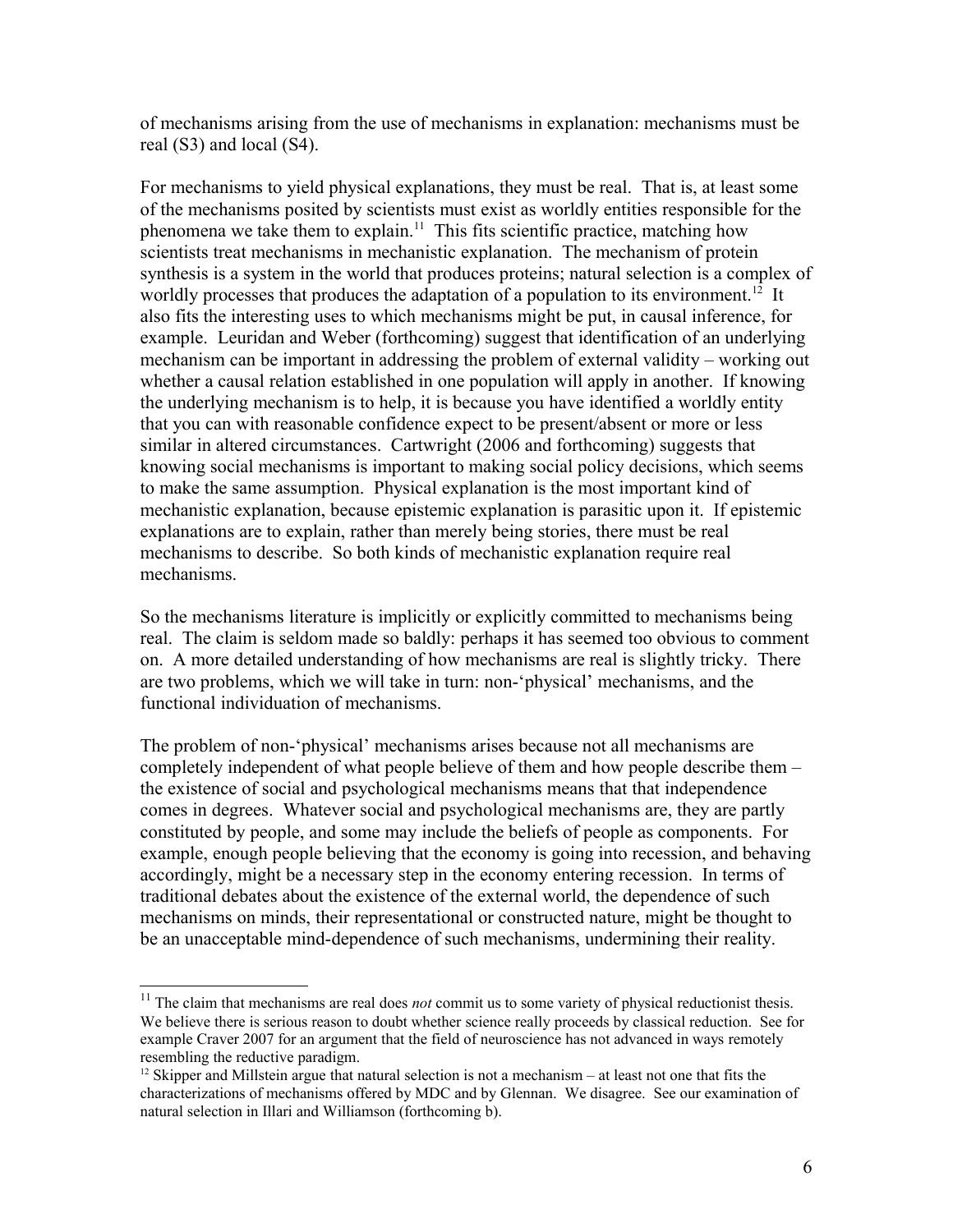of mechanisms arising from the use of mechanisms in explanation: mechanisms must be real (S3) and local (S4).

For mechanisms to yield physical explanations, they must be real. That is, at least some of the mechanisms posited by scientists must exist as worldly entities responsible for the phenomena we take them to explain.<sup>[11](#page-5-0)</sup> This fits scientific practice, matching how scientists treat mechanisms in mechanistic explanation. The mechanism of protein synthesis is a system in the world that produces proteins; natural selection is a complex of worldly processes that produces the adaptation of a population to its environment.<sup>[12](#page-5-1)</sup> It also fits the interesting uses to which mechanisms might be put, in causal inference, for example. Leuridan and Weber (forthcoming) suggest that identification of an underlying mechanism can be important in addressing the problem of external validity – working out whether a causal relation established in one population will apply in another. If knowing the underlying mechanism is to help, it is because you have identified a worldly entity that you can with reasonable confidence expect to be present/absent or more or less similar in altered circumstances. Cartwright (2006 and forthcoming) suggests that knowing social mechanisms is important to making social policy decisions, which seems to make the same assumption. Physical explanation is the most important kind of mechanistic explanation, because epistemic explanation is parasitic upon it. If epistemic explanations are to explain, rather than merely being stories, there must be real mechanisms to describe. So both kinds of mechanistic explanation require real mechanisms.

So the mechanisms literature is implicitly or explicitly committed to mechanisms being real. The claim is seldom made so baldly: perhaps it has seemed too obvious to comment on. A more detailed understanding of how mechanisms are real is slightly tricky. There are two problems, which we will take in turn: non-'physical' mechanisms, and the functional individuation of mechanisms.

The problem of non-'physical' mechanisms arises because not all mechanisms are completely independent of what people believe of them and how people describe them – the existence of social and psychological mechanisms means that that independence comes in degrees. Whatever social and psychological mechanisms are, they are partly constituted by people, and some may include the beliefs of people as components. For example, enough people believing that the economy is going into recession, and behaving accordingly, might be a necessary step in the economy entering recession. In terms of traditional debates about the existence of the external world, the dependence of such mechanisms on minds, their representational or constructed nature, might be thought to be an unacceptable mind-dependence of such mechanisms, undermining their reality.

<span id="page-5-0"></span><sup>&</sup>lt;sup>11</sup> The claim that mechanisms are real does *not* commit us to some variety of physical reductionist thesis. We believe there is serious reason to doubt whether science really proceeds by classical reduction. See for example Craver 2007 for an argument that the field of neuroscience has not advanced in ways remotely resembling the reductive paradigm.

<span id="page-5-1"></span><sup>&</sup>lt;sup>12</sup> Skipper and Millstein argue that natural selection is not a mechanism – at least not one that fits the characterizations of mechanisms offered by MDC and by Glennan. We disagree. See our examination of natural selection in Illari and Williamson (forthcoming b).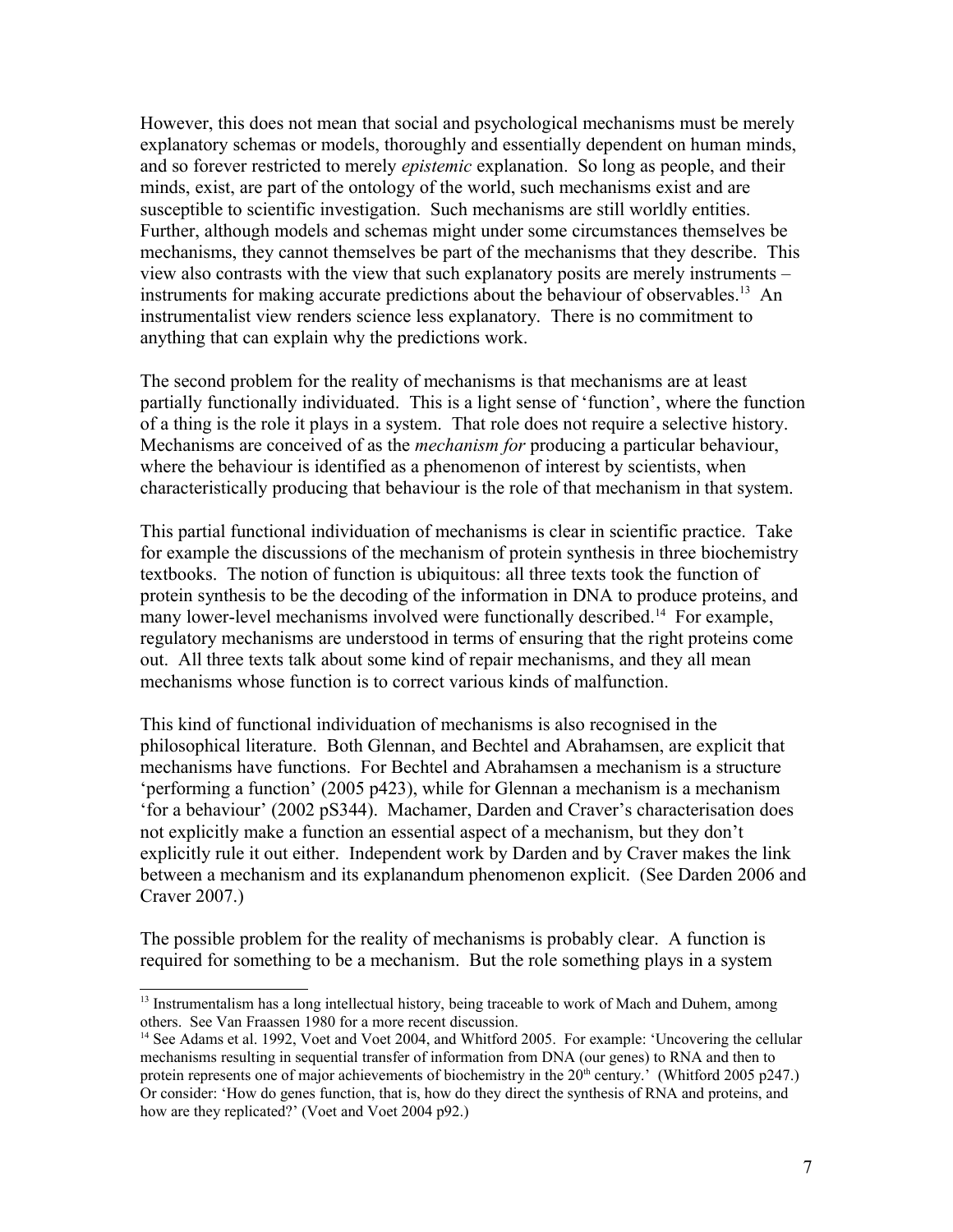However, this does not mean that social and psychological mechanisms must be merely explanatory schemas or models, thoroughly and essentially dependent on human minds, and so forever restricted to merely *epistemic* explanation. So long as people, and their minds, exist, are part of the ontology of the world, such mechanisms exist and are susceptible to scientific investigation. Such mechanisms are still worldly entities. Further, although models and schemas might under some circumstances themselves be mechanisms, they cannot themselves be part of the mechanisms that they describe. This view also contrasts with the view that such explanatory posits are merely instruments – instruments for making accurate predictions about the behaviour of observables.<sup>[13](#page-6-0)</sup> An instrumentalist view renders science less explanatory. There is no commitment to anything that can explain why the predictions work.

The second problem for the reality of mechanisms is that mechanisms are at least partially functionally individuated. This is a light sense of 'function', where the function of a thing is the role it plays in a system. That role does not require a selective history. Mechanisms are conceived of as the *mechanism for* producing a particular behaviour, where the behaviour is identified as a phenomenon of interest by scientists, when characteristically producing that behaviour is the role of that mechanism in that system.

This partial functional individuation of mechanisms is clear in scientific practice. Take for example the discussions of the mechanism of protein synthesis in three biochemistry textbooks. The notion of function is ubiquitous: all three texts took the function of protein synthesis to be the decoding of the information in DNA to produce proteins, and many lower-level mechanisms involved were functionally described.<sup>[14](#page-6-1)</sup> For example, regulatory mechanisms are understood in terms of ensuring that the right proteins come out. All three texts talk about some kind of repair mechanisms, and they all mean mechanisms whose function is to correct various kinds of malfunction.

This kind of functional individuation of mechanisms is also recognised in the philosophical literature. Both Glennan, and Bechtel and Abrahamsen, are explicit that mechanisms have functions. For Bechtel and Abrahamsen a mechanism is a structure 'performing a function' (2005 p423), while for Glennan a mechanism is a mechanism 'for a behaviour' (2002 pS344). Machamer, Darden and Craver's characterisation does not explicitly make a function an essential aspect of a mechanism, but they don't explicitly rule it out either. Independent work by Darden and by Craver makes the link between a mechanism and its explanandum phenomenon explicit. (See Darden 2006 and Craver 2007.)

The possible problem for the reality of mechanisms is probably clear. A function is required for something to be a mechanism. But the role something plays in a system

<span id="page-6-0"></span><sup>&</sup>lt;sup>13</sup> Instrumentalism has a long intellectual history, being traceable to work of Mach and Duhem, among others. See Van Fraassen 1980 for a more recent discussion.

<span id="page-6-1"></span><sup>&</sup>lt;sup>14</sup> See Adams et al. 1992, Voet and Voet 2004, and Whitford 2005. For example: 'Uncovering the cellular mechanisms resulting in sequential transfer of information from DNA (our genes) to RNA and then to protein represents one of major achievements of biochemistry in the  $20<sup>th</sup>$  century.' (Whitford 2005 p247.) Or consider: 'How do genes function, that is, how do they direct the synthesis of RNA and proteins, and how are they replicated?' (Voet and Voet 2004 p92.)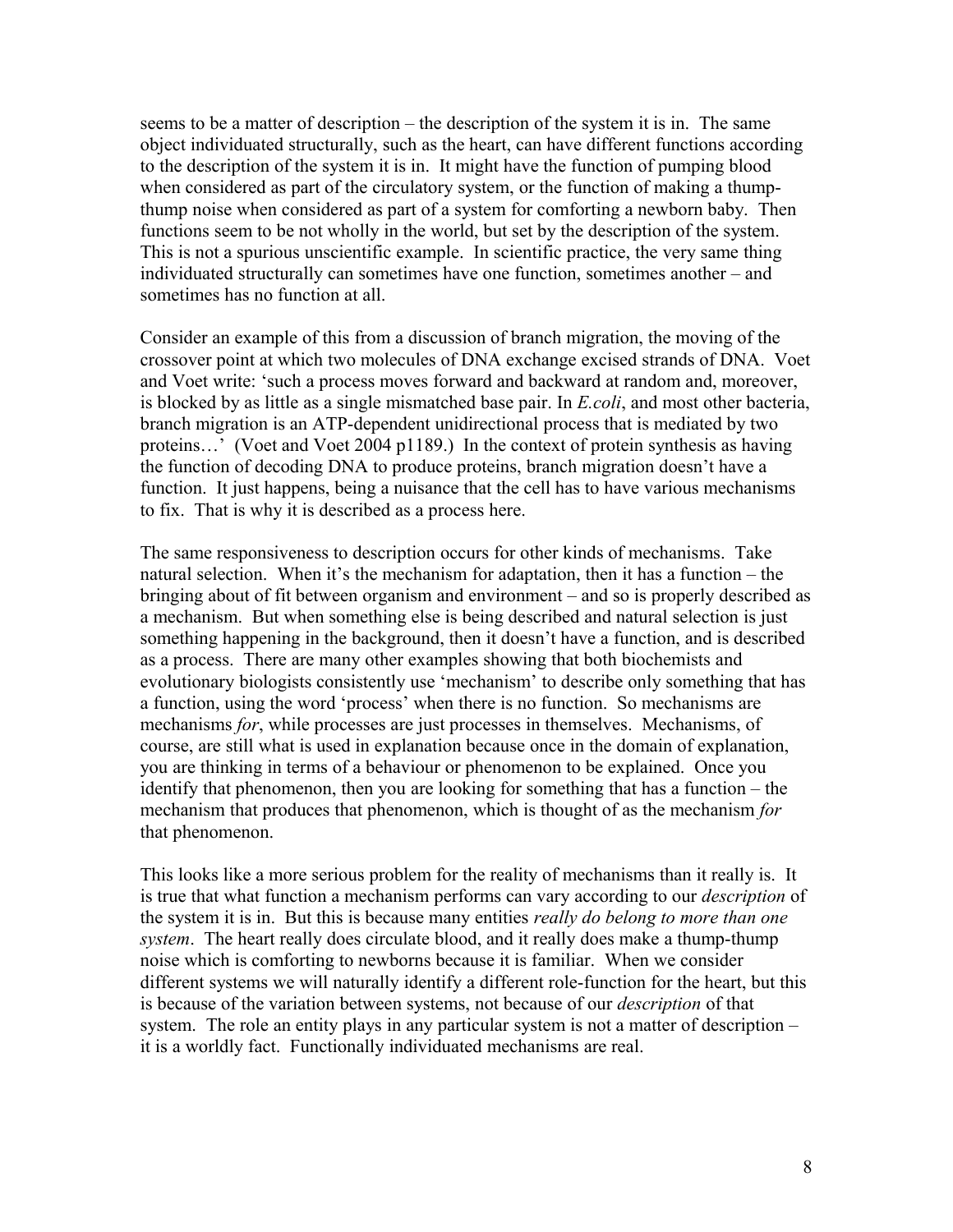seems to be a matter of description – the description of the system it is in. The same object individuated structurally, such as the heart, can have different functions according to the description of the system it is in. It might have the function of pumping blood when considered as part of the circulatory system, or the function of making a thumpthump noise when considered as part of a system for comforting a newborn baby. Then functions seem to be not wholly in the world, but set by the description of the system. This is not a spurious unscientific example. In scientific practice, the very same thing individuated structurally can sometimes have one function, sometimes another – and sometimes has no function at all.

Consider an example of this from a discussion of branch migration, the moving of the crossover point at which two molecules of DNA exchange excised strands of DNA. Voet and Voet write: 'such a process moves forward and backward at random and, moreover, is blocked by as little as a single mismatched base pair. In *E.coli*, and most other bacteria, branch migration is an ATP-dependent unidirectional process that is mediated by two proteins…' (Voet and Voet 2004 p1189.) In the context of protein synthesis as having the function of decoding DNA to produce proteins, branch migration doesn't have a function. It just happens, being a nuisance that the cell has to have various mechanisms to fix. That is why it is described as a process here.

The same responsiveness to description occurs for other kinds of mechanisms. Take natural selection. When it's the mechanism for adaptation, then it has a function – the bringing about of fit between organism and environment – and so is properly described as a mechanism. But when something else is being described and natural selection is just something happening in the background, then it doesn't have a function, and is described as a process. There are many other examples showing that both biochemists and evolutionary biologists consistently use 'mechanism' to describe only something that has a function, using the word 'process' when there is no function. So mechanisms are mechanisms *for*, while processes are just processes in themselves. Mechanisms, of course, are still what is used in explanation because once in the domain of explanation, you are thinking in terms of a behaviour or phenomenon to be explained. Once you identify that phenomenon, then you are looking for something that has a function – the mechanism that produces that phenomenon, which is thought of as the mechanism *for* that phenomenon.

This looks like a more serious problem for the reality of mechanisms than it really is. It is true that what function a mechanism performs can vary according to our *description* of the system it is in. But this is because many entities *really do belong to more than one system*. The heart really does circulate blood, and it really does make a thump-thump noise which is comforting to newborns because it is familiar. When we consider different systems we will naturally identify a different role-function for the heart, but this is because of the variation between systems, not because of our *description* of that system. The role an entity plays in any particular system is not a matter of description – it is a worldly fact. Functionally individuated mechanisms are real.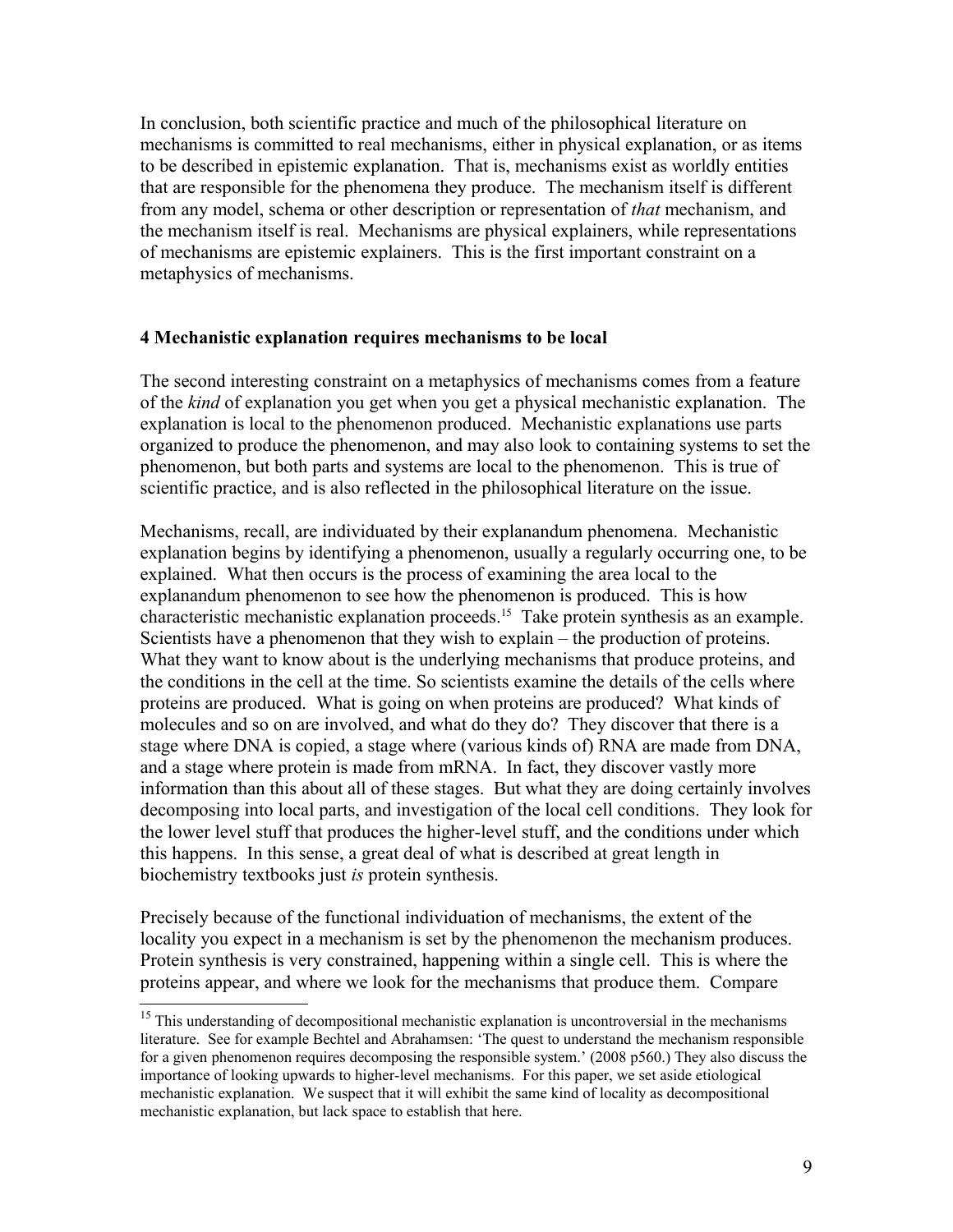In conclusion, both scientific practice and much of the philosophical literature on mechanisms is committed to real mechanisms, either in physical explanation, or as items to be described in epistemic explanation. That is, mechanisms exist as worldly entities that are responsible for the phenomena they produce. The mechanism itself is different from any model, schema or other description or representation of *that* mechanism, and the mechanism itself is real. Mechanisms are physical explainers, while representations of mechanisms are epistemic explainers. This is the first important constraint on a metaphysics of mechanisms.

### **4 Mechanistic explanation requires mechanisms to be local**

The second interesting constraint on a metaphysics of mechanisms comes from a feature of the *kind* of explanation you get when you get a physical mechanistic explanation. The explanation is local to the phenomenon produced. Mechanistic explanations use parts organized to produce the phenomenon, and may also look to containing systems to set the phenomenon, but both parts and systems are local to the phenomenon. This is true of scientific practice, and is also reflected in the philosophical literature on the issue.

Mechanisms, recall, are individuated by their explanandum phenomena. Mechanistic explanation begins by identifying a phenomenon, usually a regularly occurring one, to be explained. What then occurs is the process of examining the area local to the explanandum phenomenon to see how the phenomenon is produced. This is how characteristic mechanistic explanation proceeds.[15](#page-8-0) Take protein synthesis as an example. Scientists have a phenomenon that they wish to explain – the production of proteins. What they want to know about is the underlying mechanisms that produce proteins, and the conditions in the cell at the time. So scientists examine the details of the cells where proteins are produced. What is going on when proteins are produced? What kinds of molecules and so on are involved, and what do they do? They discover that there is a stage where DNA is copied, a stage where (various kinds of) RNA are made from DNA, and a stage where protein is made from mRNA. In fact, they discover vastly more information than this about all of these stages. But what they are doing certainly involves decomposing into local parts, and investigation of the local cell conditions. They look for the lower level stuff that produces the higher-level stuff, and the conditions under which this happens. In this sense, a great deal of what is described at great length in biochemistry textbooks just *is* protein synthesis.

Precisely because of the functional individuation of mechanisms, the extent of the locality you expect in a mechanism is set by the phenomenon the mechanism produces. Protein synthesis is very constrained, happening within a single cell. This is where the proteins appear, and where we look for the mechanisms that produce them. Compare

<span id="page-8-0"></span><sup>&</sup>lt;sup>15</sup> This understanding of decompositional mechanistic explanation is uncontroversial in the mechanisms literature. See for example Bechtel and Abrahamsen: 'The quest to understand the mechanism responsible for a given phenomenon requires decomposing the responsible system.' (2008 p560.) They also discuss the importance of looking upwards to higher-level mechanisms. For this paper, we set aside etiological mechanistic explanation. We suspect that it will exhibit the same kind of locality as decompositional mechanistic explanation, but lack space to establish that here.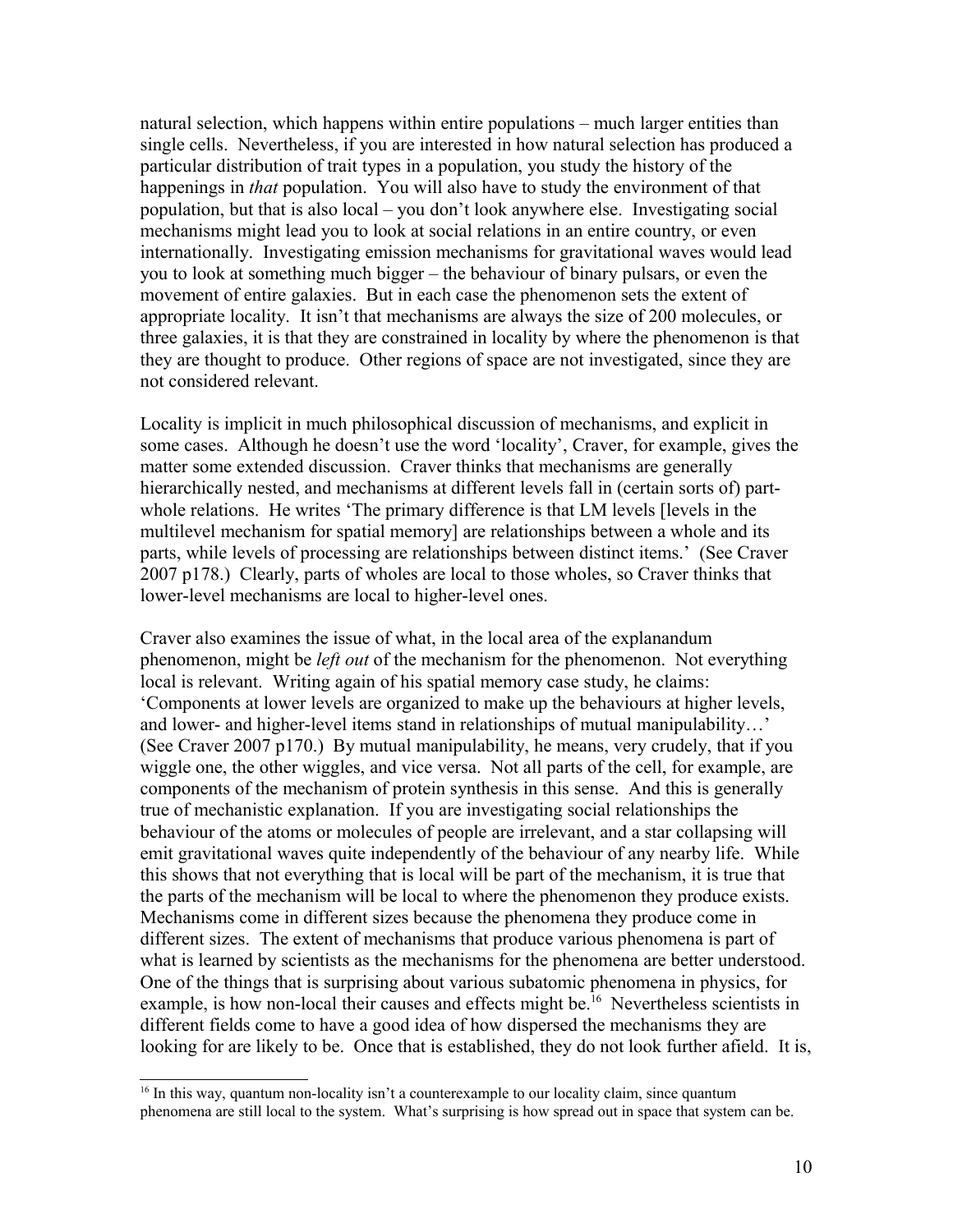natural selection, which happens within entire populations – much larger entities than single cells. Nevertheless, if you are interested in how natural selection has produced a particular distribution of trait types in a population, you study the history of the happenings in *that* population. You will also have to study the environment of that population, but that is also local – you don't look anywhere else. Investigating social mechanisms might lead you to look at social relations in an entire country, or even internationally. Investigating emission mechanisms for gravitational waves would lead you to look at something much bigger – the behaviour of binary pulsars, or even the movement of entire galaxies. But in each case the phenomenon sets the extent of appropriate locality. It isn't that mechanisms are always the size of 200 molecules, or three galaxies, it is that they are constrained in locality by where the phenomenon is that they are thought to produce. Other regions of space are not investigated, since they are not considered relevant.

Locality is implicit in much philosophical discussion of mechanisms, and explicit in some cases. Although he doesn't use the word 'locality', Craver, for example, gives the matter some extended discussion. Craver thinks that mechanisms are generally hierarchically nested, and mechanisms at different levels fall in (certain sorts of) partwhole relations. He writes 'The primary difference is that LM levels [levels in the multilevel mechanism for spatial memory] are relationships between a whole and its parts, while levels of processing are relationships between distinct items.' (See Craver 2007 p178.) Clearly, parts of wholes are local to those wholes, so Craver thinks that lower-level mechanisms are local to higher-level ones.

Craver also examines the issue of what, in the local area of the explanandum phenomenon, might be *left out* of the mechanism for the phenomenon. Not everything local is relevant. Writing again of his spatial memory case study, he claims: 'Components at lower levels are organized to make up the behaviours at higher levels, and lower- and higher-level items stand in relationships of mutual manipulability…' (See Craver 2007 p170.) By mutual manipulability, he means, very crudely, that if you wiggle one, the other wiggles, and vice versa. Not all parts of the cell, for example, are components of the mechanism of protein synthesis in this sense. And this is generally true of mechanistic explanation. If you are investigating social relationships the behaviour of the atoms or molecules of people are irrelevant, and a star collapsing will emit gravitational waves quite independently of the behaviour of any nearby life. While this shows that not everything that is local will be part of the mechanism, it is true that the parts of the mechanism will be local to where the phenomenon they produce exists. Mechanisms come in different sizes because the phenomena they produce come in different sizes. The extent of mechanisms that produce various phenomena is part of what is learned by scientists as the mechanisms for the phenomena are better understood. One of the things that is surprising about various subatomic phenomena in physics, for example, is how non-local their causes and effects might be.<sup>[16](#page-9-0)</sup> Nevertheless scientists in different fields come to have a good idea of how dispersed the mechanisms they are looking for are likely to be. Once that is established, they do not look further afield. It is,

<span id="page-9-0"></span><sup>&</sup>lt;sup>16</sup> In this way, quantum non-locality isn't a counterexample to our locality claim, since quantum phenomena are still local to the system. What's surprising is how spread out in space that system can be.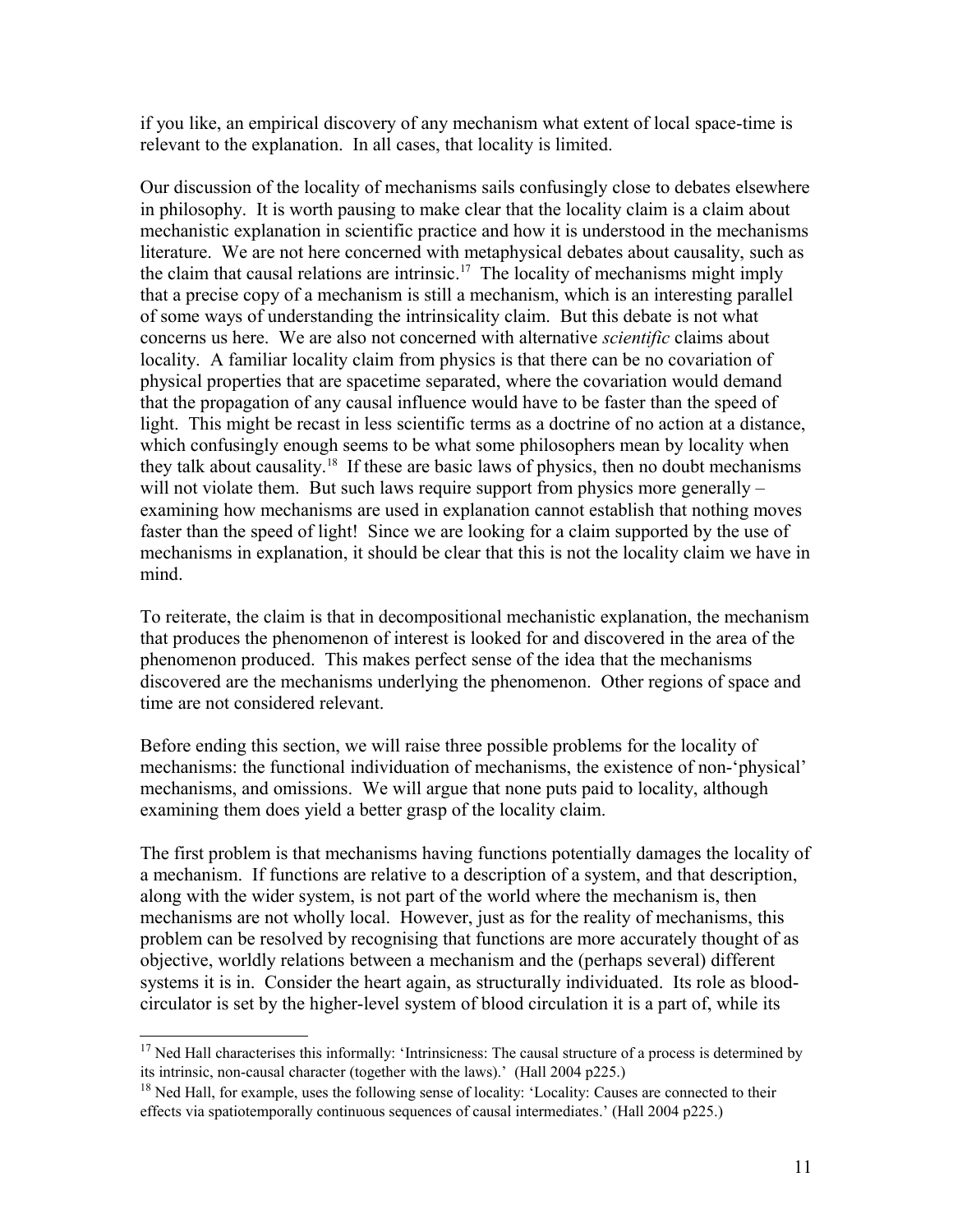if you like, an empirical discovery of any mechanism what extent of local space-time is relevant to the explanation. In all cases, that locality is limited.

Our discussion of the locality of mechanisms sails confusingly close to debates elsewhere in philosophy. It is worth pausing to make clear that the locality claim is a claim about mechanistic explanation in scientific practice and how it is understood in the mechanisms literature. We are not here concerned with metaphysical debates about causality, such as the claim that causal relations are intrinsic.<sup>[17](#page-10-0)</sup> The locality of mechanisms might imply that a precise copy of a mechanism is still a mechanism, which is an interesting parallel of some ways of understanding the intrinsicality claim. But this debate is not what concerns us here. We are also not concerned with alternative *scientific* claims about locality. A familiar locality claim from physics is that there can be no covariation of physical properties that are spacetime separated, where the covariation would demand that the propagation of any causal influence would have to be faster than the speed of light. This might be recast in less scientific terms as a doctrine of no action at a distance, which confusingly enough seems to be what some philosophers mean by locality when they talk about causality.<sup>[18](#page-10-1)</sup> If these are basic laws of physics, then no doubt mechanisms will not violate them. But such laws require support from physics more generally – examining how mechanisms are used in explanation cannot establish that nothing moves faster than the speed of light! Since we are looking for a claim supported by the use of mechanisms in explanation, it should be clear that this is not the locality claim we have in mind.

To reiterate, the claim is that in decompositional mechanistic explanation, the mechanism that produces the phenomenon of interest is looked for and discovered in the area of the phenomenon produced. This makes perfect sense of the idea that the mechanisms discovered are the mechanisms underlying the phenomenon. Other regions of space and time are not considered relevant.

Before ending this section, we will raise three possible problems for the locality of mechanisms: the functional individuation of mechanisms, the existence of non-'physical' mechanisms, and omissions. We will argue that none puts paid to locality, although examining them does yield a better grasp of the locality claim.

The first problem is that mechanisms having functions potentially damages the locality of a mechanism. If functions are relative to a description of a system, and that description, along with the wider system, is not part of the world where the mechanism is, then mechanisms are not wholly local. However, just as for the reality of mechanisms, this problem can be resolved by recognising that functions are more accurately thought of as objective, worldly relations between a mechanism and the (perhaps several) different systems it is in. Consider the heart again, as structurally individuated. Its role as bloodcirculator is set by the higher-level system of blood circulation it is a part of, while its

<span id="page-10-0"></span> $17$  Ned Hall characterises this informally: 'Intrinsicness: The causal structure of a process is determined by its intrinsic, non-causal character (together with the laws).' (Hall 2004 p225.)

<span id="page-10-1"></span><sup>&</sup>lt;sup>18</sup> Ned Hall, for example, uses the following sense of locality: 'Locality: Causes are connected to their effects via spatiotemporally continuous sequences of causal intermediates.' (Hall 2004 p225.)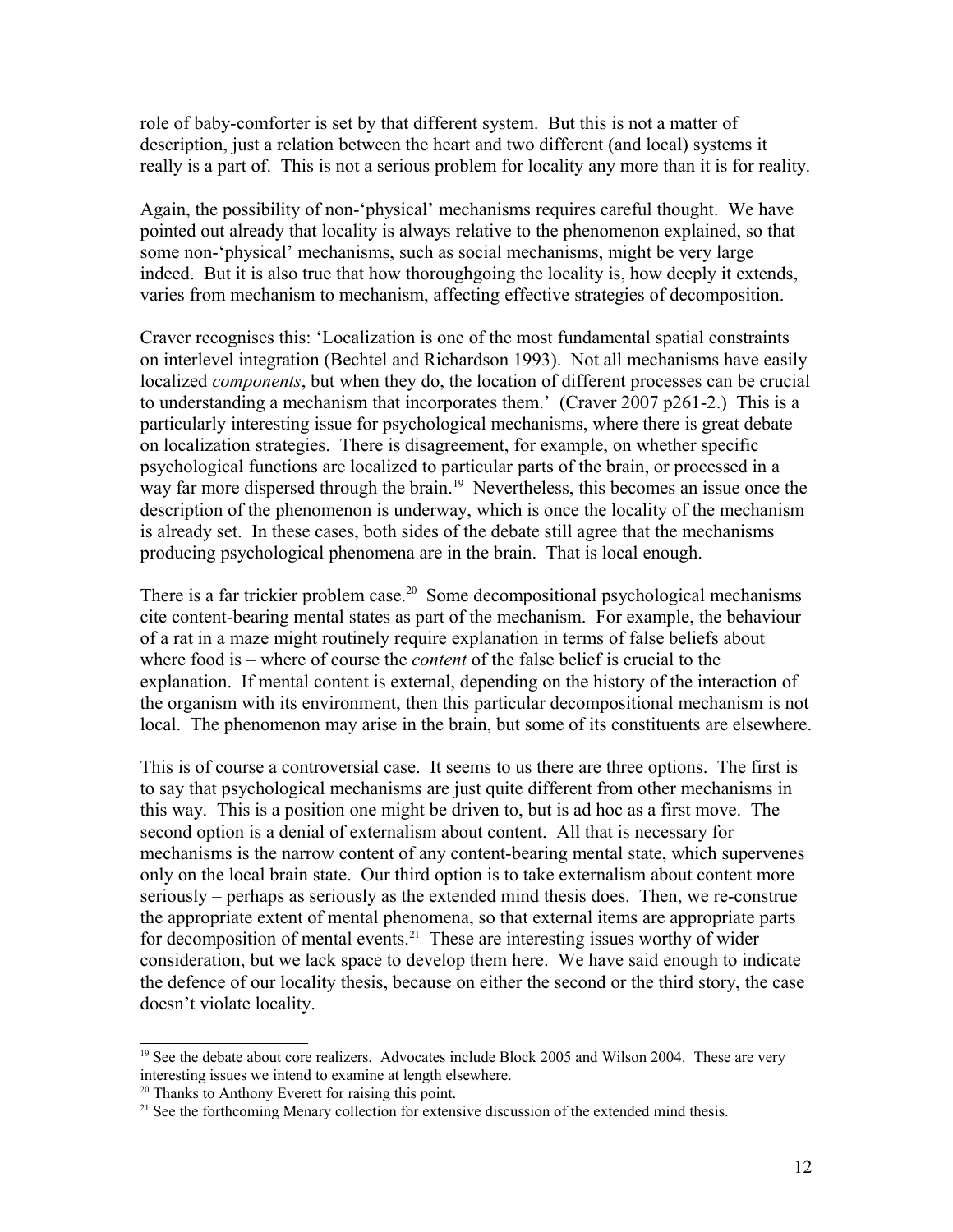role of baby-comforter is set by that different system. But this is not a matter of description, just a relation between the heart and two different (and local) systems it really is a part of. This is not a serious problem for locality any more than it is for reality.

Again, the possibility of non-'physical' mechanisms requires careful thought. We have pointed out already that locality is always relative to the phenomenon explained, so that some non-'physical' mechanisms, such as social mechanisms, might be very large indeed. But it is also true that how thoroughgoing the locality is, how deeply it extends, varies from mechanism to mechanism, affecting effective strategies of decomposition.

Craver recognises this: 'Localization is one of the most fundamental spatial constraints on interlevel integration (Bechtel and Richardson 1993). Not all mechanisms have easily localized *components*, but when they do, the location of different processes can be crucial to understanding a mechanism that incorporates them.' (Craver 2007 p261-2.) This is a particularly interesting issue for psychological mechanisms, where there is great debate on localization strategies. There is disagreement, for example, on whether specific psychological functions are localized to particular parts of the brain, or processed in a way far more dispersed through the brain.<sup>[19](#page-11-0)</sup> Nevertheless, this becomes an issue once the description of the phenomenon is underway, which is once the locality of the mechanism is already set. In these cases, both sides of the debate still agree that the mechanisms producing psychological phenomena are in the brain. That is local enough.

There is a far trickier problem case.<sup>[20](#page-11-1)</sup> Some decompositional psychological mechanisms cite content-bearing mental states as part of the mechanism. For example, the behaviour of a rat in a maze might routinely require explanation in terms of false beliefs about where food is – where of course the *content* of the false belief is crucial to the explanation. If mental content is external, depending on the history of the interaction of the organism with its environment, then this particular decompositional mechanism is not local. The phenomenon may arise in the brain, but some of its constituents are elsewhere.

This is of course a controversial case. It seems to us there are three options. The first is to say that psychological mechanisms are just quite different from other mechanisms in this way. This is a position one might be driven to, but is ad hoc as a first move. The second option is a denial of externalism about content. All that is necessary for mechanisms is the narrow content of any content-bearing mental state, which supervenes only on the local brain state. Our third option is to take externalism about content more seriously – perhaps as seriously as the extended mind thesis does. Then, we re-construe the appropriate extent of mental phenomena, so that external items are appropriate parts for decomposition of mental events.<sup>[21](#page-11-2)</sup> These are interesting issues worthy of wider consideration, but we lack space to develop them here. We have said enough to indicate the defence of our locality thesis, because on either the second or the third story, the case doesn't violate locality.

<span id="page-11-0"></span><sup>&</sup>lt;sup>19</sup> See the debate about core realizers. Advocates include Block 2005 and Wilson 2004. These are very interesting issues we intend to examine at length elsewhere.

<span id="page-11-1"></span><sup>&</sup>lt;sup>20</sup> Thanks to Anthony Everett for raising this point.

<span id="page-11-2"></span><sup>&</sup>lt;sup>21</sup> See the forthcoming Menary collection for extensive discussion of the extended mind thesis.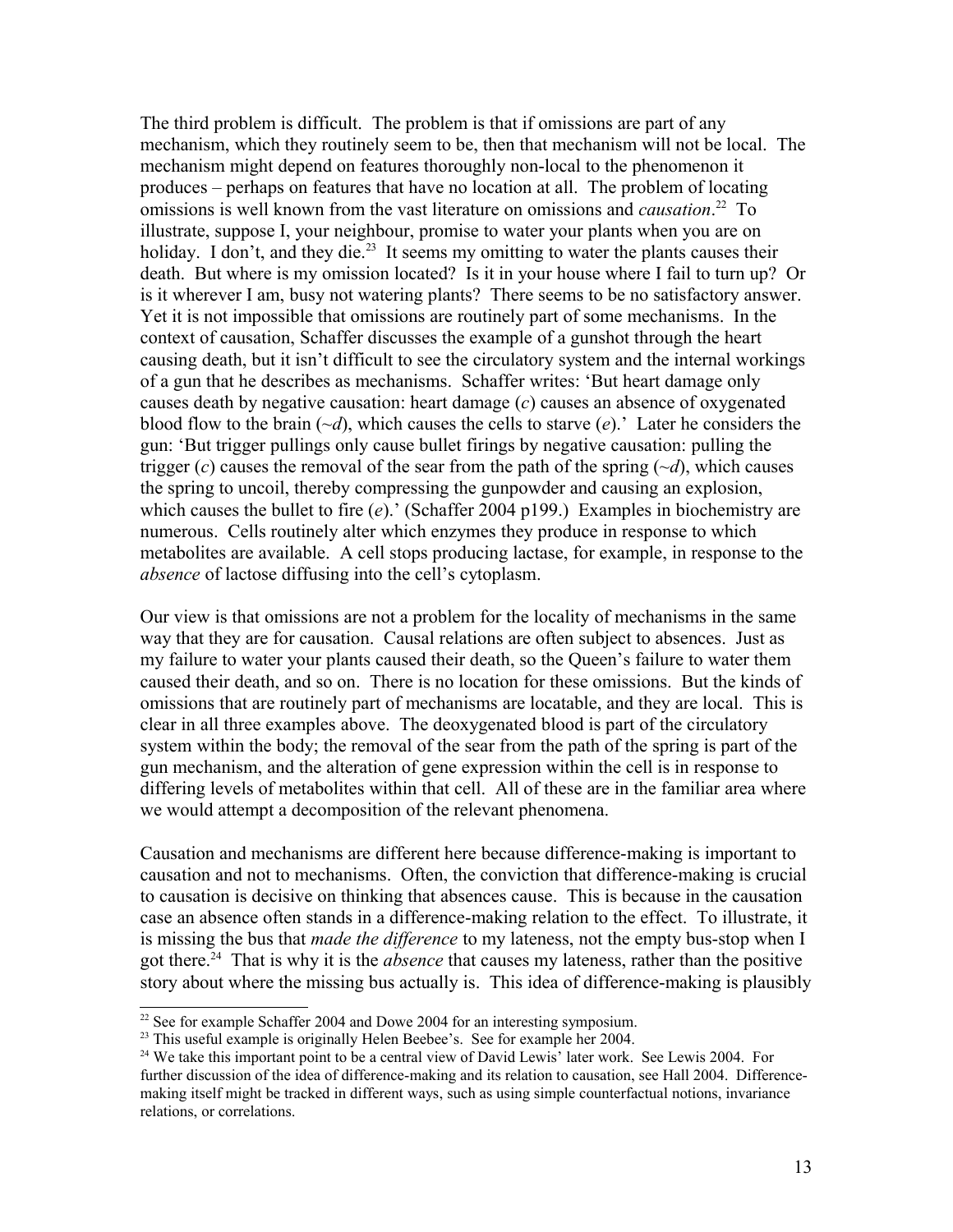The third problem is difficult. The problem is that if omissions are part of any mechanism, which they routinely seem to be, then that mechanism will not be local. The mechanism might depend on features thoroughly non-local to the phenomenon it produces – perhaps on features that have no location at all. The problem of locating omissions is well known from the vast literature on omissions and *causation*. [22](#page-12-0) To illustrate, suppose I, your neighbour, promise to water your plants when you are on holiday. I don't, and they die.<sup>[23](#page-12-1)</sup> It seems my omitting to water the plants causes their death. But where is my omission located? Is it in your house where I fail to turn up? Or is it wherever I am, busy not watering plants? There seems to be no satisfactory answer. Yet it is not impossible that omissions are routinely part of some mechanisms. In the context of causation, Schaffer discusses the example of a gunshot through the heart causing death, but it isn't difficult to see the circulatory system and the internal workings of a gun that he describes as mechanisms. Schaffer writes: 'But heart damage only causes death by negative causation: heart damage (*c*) causes an absence of oxygenated blood flow to the brain  $(\sim d)$ , which causes the cells to starve  $(e)$ .' Later he considers the gun: 'But trigger pullings only cause bullet firings by negative causation: pulling the trigger  $(c)$  causes the removal of the sear from the path of the spring  $(\sim d)$ , which causes the spring to uncoil, thereby compressing the gunpowder and causing an explosion, which causes the bullet to fire (*e*).' (Schaffer 2004 p199.) Examples in biochemistry are numerous. Cells routinely alter which enzymes they produce in response to which metabolites are available. A cell stops producing lactase, for example, in response to the *absence* of lactose diffusing into the cell's cytoplasm.

Our view is that omissions are not a problem for the locality of mechanisms in the same way that they are for causation. Causal relations are often subject to absences. Just as my failure to water your plants caused their death, so the Queen's failure to water them caused their death, and so on. There is no location for these omissions. But the kinds of omissions that are routinely part of mechanisms are locatable, and they are local. This is clear in all three examples above. The deoxygenated blood is part of the circulatory system within the body; the removal of the sear from the path of the spring is part of the gun mechanism, and the alteration of gene expression within the cell is in response to differing levels of metabolites within that cell. All of these are in the familiar area where we would attempt a decomposition of the relevant phenomena.

Causation and mechanisms are different here because difference-making is important to causation and not to mechanisms. Often, the conviction that difference-making is crucial to causation is decisive on thinking that absences cause. This is because in the causation case an absence often stands in a difference-making relation to the effect. To illustrate, it is missing the bus that *made the difference* to my lateness, not the empty bus-stop when I got there.[24](#page-12-2) That is why it is the *absence* that causes my lateness, rather than the positive story about where the missing bus actually is. This idea of difference-making is plausibly

<span id="page-12-0"></span> $22$  See for example Schaffer 2004 and Dowe 2004 for an interesting symposium.

<span id="page-12-1"></span><sup>&</sup>lt;sup>23</sup> This useful example is originally Helen Beebee's. See for example her 2004.

<span id="page-12-2"></span><sup>&</sup>lt;sup>24</sup> We take this important point to be a central view of David Lewis' later work. See Lewis 2004. For further discussion of the idea of difference-making and its relation to causation, see Hall 2004. Differencemaking itself might be tracked in different ways, such as using simple counterfactual notions, invariance relations, or correlations.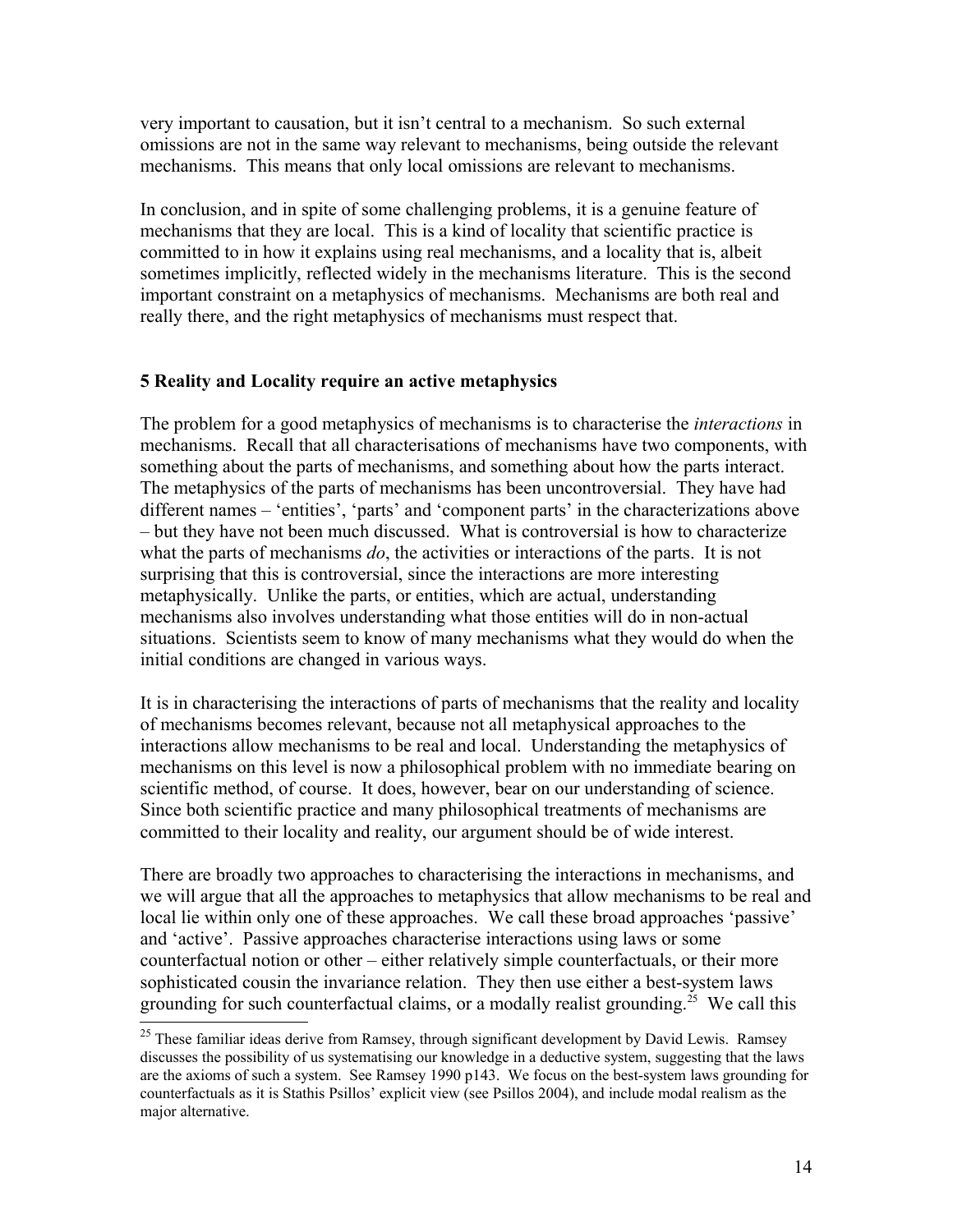very important to causation, but it isn't central to a mechanism. So such external omissions are not in the same way relevant to mechanisms, being outside the relevant mechanisms. This means that only local omissions are relevant to mechanisms.

In conclusion, and in spite of some challenging problems, it is a genuine feature of mechanisms that they are local. This is a kind of locality that scientific practice is committed to in how it explains using real mechanisms, and a locality that is, albeit sometimes implicitly, reflected widely in the mechanisms literature. This is the second important constraint on a metaphysics of mechanisms. Mechanisms are both real and really there, and the right metaphysics of mechanisms must respect that.

### **5 Reality and Locality require an active metaphysics**

The problem for a good metaphysics of mechanisms is to characterise the *interactions* in mechanisms. Recall that all characterisations of mechanisms have two components, with something about the parts of mechanisms, and something about how the parts interact. The metaphysics of the parts of mechanisms has been uncontroversial. They have had different names – 'entities', 'parts' and 'component parts' in the characterizations above – but they have not been much discussed. What is controversial is how to characterize what the parts of mechanisms *do*, the activities or interactions of the parts. It is not surprising that this is controversial, since the interactions are more interesting metaphysically. Unlike the parts, or entities, which are actual, understanding mechanisms also involves understanding what those entities will do in non-actual situations. Scientists seem to know of many mechanisms what they would do when the initial conditions are changed in various ways.

It is in characterising the interactions of parts of mechanisms that the reality and locality of mechanisms becomes relevant, because not all metaphysical approaches to the interactions allow mechanisms to be real and local. Understanding the metaphysics of mechanisms on this level is now a philosophical problem with no immediate bearing on scientific method, of course. It does, however, bear on our understanding of science. Since both scientific practice and many philosophical treatments of mechanisms are committed to their locality and reality, our argument should be of wide interest.

There are broadly two approaches to characterising the interactions in mechanisms, and we will argue that all the approaches to metaphysics that allow mechanisms to be real and local lie within only one of these approaches. We call these broad approaches 'passive' and 'active'. Passive approaches characterise interactions using laws or some counterfactual notion or other – either relatively simple counterfactuals, or their more sophisticated cousin the invariance relation. They then use either a best-system laws grounding for such counterfactual claims, or a modally realist grounding.<sup>[25](#page-13-0)</sup> We call this

<span id="page-13-0"></span><sup>&</sup>lt;sup>25</sup> These familiar ideas derive from Ramsey, through significant development by David Lewis. Ramsey discusses the possibility of us systematising our knowledge in a deductive system, suggesting that the laws are the axioms of such a system. See Ramsey 1990 p143. We focus on the best-system laws grounding for counterfactuals as it is Stathis Psillos' explicit view (see Psillos 2004), and include modal realism as the major alternative.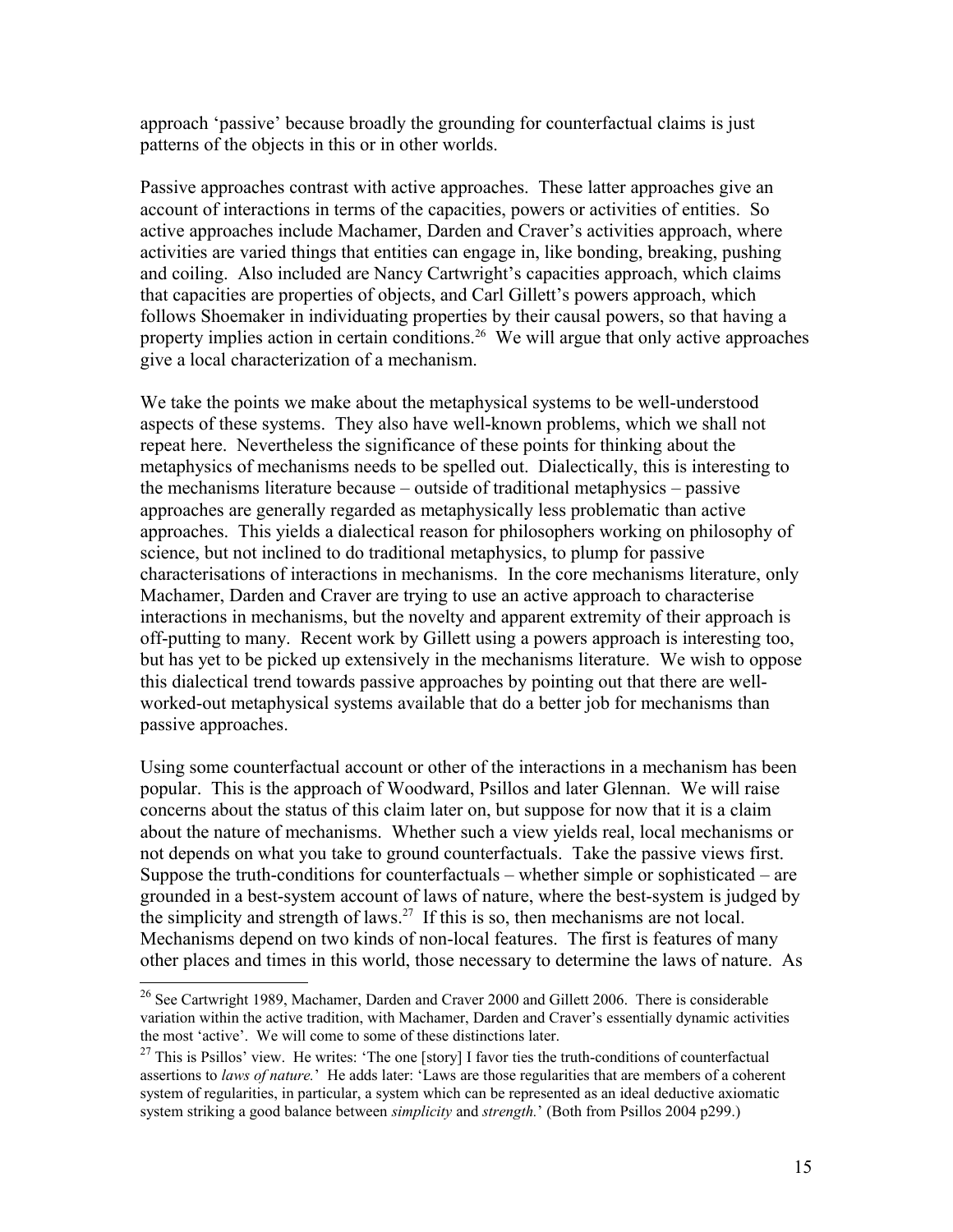approach 'passive' because broadly the grounding for counterfactual claims is just patterns of the objects in this or in other worlds.

Passive approaches contrast with active approaches. These latter approaches give an account of interactions in terms of the capacities, powers or activities of entities. So active approaches include Machamer, Darden and Craver's activities approach, where activities are varied things that entities can engage in, like bonding, breaking, pushing and coiling. Also included are Nancy Cartwright's capacities approach, which claims that capacities are properties of objects, and Carl Gillett's powers approach, which follows Shoemaker in individuating properties by their causal powers, so that having a property implies action in certain conditions.<sup>[26](#page-14-0)</sup> We will argue that only active approaches give a local characterization of a mechanism.

We take the points we make about the metaphysical systems to be well-understood aspects of these systems. They also have well-known problems, which we shall not repeat here. Nevertheless the significance of these points for thinking about the metaphysics of mechanisms needs to be spelled out. Dialectically, this is interesting to the mechanisms literature because – outside of traditional metaphysics – passive approaches are generally regarded as metaphysically less problematic than active approaches. This yields a dialectical reason for philosophers working on philosophy of science, but not inclined to do traditional metaphysics, to plump for passive characterisations of interactions in mechanisms. In the core mechanisms literature, only Machamer, Darden and Craver are trying to use an active approach to characterise interactions in mechanisms, but the novelty and apparent extremity of their approach is off-putting to many. Recent work by Gillett using a powers approach is interesting too, but has yet to be picked up extensively in the mechanisms literature. We wish to oppose this dialectical trend towards passive approaches by pointing out that there are wellworked-out metaphysical systems available that do a better job for mechanisms than passive approaches.

Using some counterfactual account or other of the interactions in a mechanism has been popular. This is the approach of Woodward, Psillos and later Glennan. We will raise concerns about the status of this claim later on, but suppose for now that it is a claim about the nature of mechanisms. Whether such a view yields real, local mechanisms or not depends on what you take to ground counterfactuals. Take the passive views first. Suppose the truth-conditions for counterfactuals – whether simple or sophisticated – are grounded in a best-system account of laws of nature, where the best-system is judged by the simplicity and strength of laws.<sup>[27](#page-14-1)</sup> If this is so, then mechanisms are not local. Mechanisms depend on two kinds of non-local features. The first is features of many other places and times in this world, those necessary to determine the laws of nature. As

<span id="page-14-0"></span><sup>&</sup>lt;sup>26</sup> See Cartwright 1989, Machamer, Darden and Craver 2000 and Gillett 2006. There is considerable variation within the active tradition, with Machamer, Darden and Craver's essentially dynamic activities the most 'active'. We will come to some of these distinctions later.

<span id="page-14-1"></span> $27$  This is Psillos' view. He writes: 'The one [story] I favor ties the truth-conditions of counterfactual assertions to *laws of nature.*' He adds later: 'Laws are those regularities that are members of a coherent system of regularities, in particular, a system which can be represented as an ideal deductive axiomatic system striking a good balance between *simplicity* and *strength.*' (Both from Psillos 2004 p299.)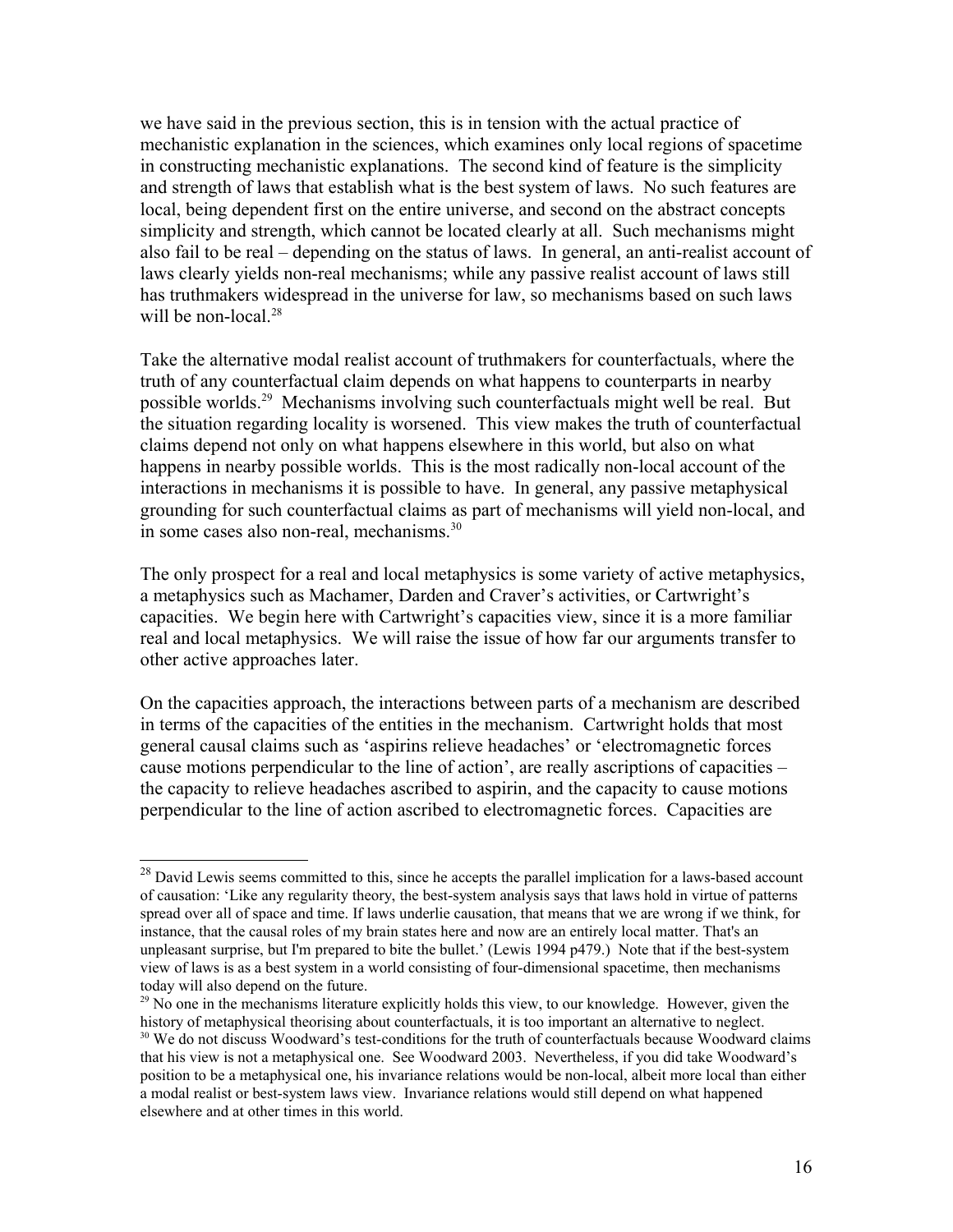we have said in the previous section, this is in tension with the actual practice of mechanistic explanation in the sciences, which examines only local regions of spacetime in constructing mechanistic explanations. The second kind of feature is the simplicity and strength of laws that establish what is the best system of laws. No such features are local, being dependent first on the entire universe, and second on the abstract concepts simplicity and strength, which cannot be located clearly at all. Such mechanisms might also fail to be real – depending on the status of laws. In general, an anti-realist account of laws clearly yields non-real mechanisms; while any passive realist account of laws still has truthmakers widespread in the universe for law, so mechanisms based on such laws will be non-local. $28$ 

Take the alternative modal realist account of truthmakers for counterfactuals, where the truth of any counterfactual claim depends on what happens to counterparts in nearby possible worlds.[29](#page-15-1) Mechanisms involving such counterfactuals might well be real. But the situation regarding locality is worsened. This view makes the truth of counterfactual claims depend not only on what happens elsewhere in this world, but also on what happens in nearby possible worlds. This is the most radically non-local account of the interactions in mechanisms it is possible to have. In general, any passive metaphysical grounding for such counterfactual claims as part of mechanisms will yield non-local, and in some cases also non-real, mechanisms.<sup>[30](#page-15-2)</sup>

The only prospect for a real and local metaphysics is some variety of active metaphysics, a metaphysics such as Machamer, Darden and Craver's activities, or Cartwright's capacities. We begin here with Cartwright's capacities view, since it is a more familiar real and local metaphysics. We will raise the issue of how far our arguments transfer to other active approaches later.

On the capacities approach, the interactions between parts of a mechanism are described in terms of the capacities of the entities in the mechanism. Cartwright holds that most general causal claims such as 'aspirins relieve headaches' or 'electromagnetic forces cause motions perpendicular to the line of action', are really ascriptions of capacities – the capacity to relieve headaches ascribed to aspirin, and the capacity to cause motions perpendicular to the line of action ascribed to electromagnetic forces. Capacities are

<span id="page-15-0"></span><sup>&</sup>lt;sup>28</sup> David Lewis seems committed to this, since he accepts the parallel implication for a laws-based account of causation: 'Like any regularity theory, the best-system analysis says that laws hold in virtue of patterns spread over all of space and time. If laws underlie causation, that means that we are wrong if we think, for instance, that the causal roles of my brain states here and now are an entirely local matter. That's an unpleasant surprise, but I'm prepared to bite the bullet.' (Lewis 1994 p479.) Note that if the best-system view of laws is as a best system in a world consisting of four-dimensional spacetime, then mechanisms today will also depend on the future.

<span id="page-15-2"></span><span id="page-15-1"></span> $^{29}$  No one in the mechanisms literature explicitly holds this view, to our knowledge. However, given the history of metaphysical theorising about counterfactuals, it is too important an alternative to neglect. <sup>30</sup> We do not discuss Woodward's test-conditions for the truth of counterfactuals because Woodward claims that his view is not a metaphysical one. See Woodward 2003. Nevertheless, if you did take Woodward's position to be a metaphysical one, his invariance relations would be non-local, albeit more local than either a modal realist or best-system laws view. Invariance relations would still depend on what happened elsewhere and at other times in this world.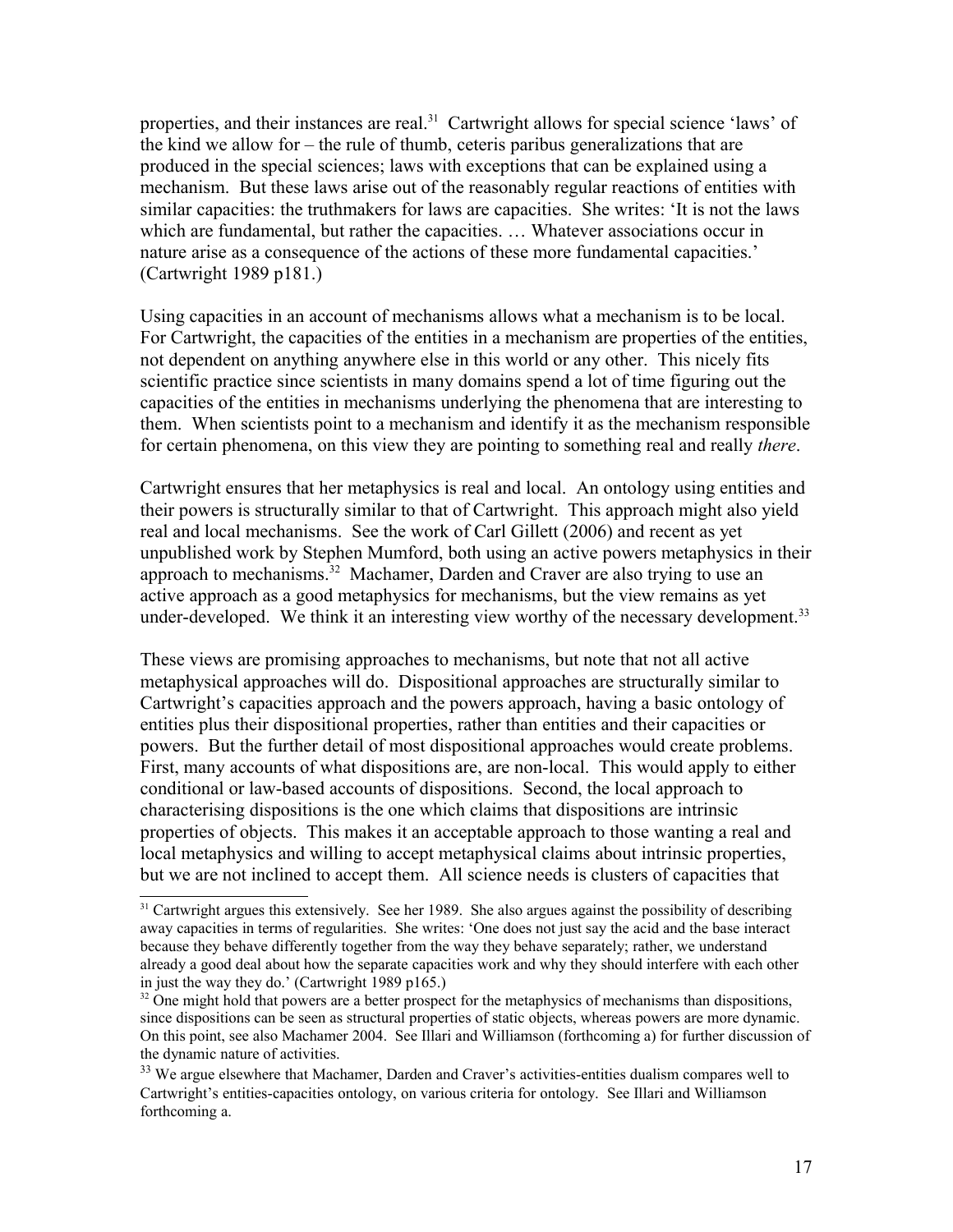properties, and their instances are real.<sup>[31](#page-16-0)</sup> Cartwright allows for special science 'laws' of the kind we allow for – the rule of thumb, ceteris paribus generalizations that are produced in the special sciences; laws with exceptions that can be explained using a mechanism. But these laws arise out of the reasonably regular reactions of entities with similar capacities: the truthmakers for laws are capacities. She writes: 'It is not the laws which are fundamental, but rather the capacities. … Whatever associations occur in nature arise as a consequence of the actions of these more fundamental capacities.' (Cartwright 1989 p181.)

Using capacities in an account of mechanisms allows what a mechanism is to be local. For Cartwright, the capacities of the entities in a mechanism are properties of the entities, not dependent on anything anywhere else in this world or any other. This nicely fits scientific practice since scientists in many domains spend a lot of time figuring out the capacities of the entities in mechanisms underlying the phenomena that are interesting to them. When scientists point to a mechanism and identify it as the mechanism responsible for certain phenomena, on this view they are pointing to something real and really *there*.

Cartwright ensures that her metaphysics is real and local. An ontology using entities and their powers is structurally similar to that of Cartwright. This approach might also yield real and local mechanisms. See the work of Carl Gillett (2006) and recent as yet unpublished work by Stephen Mumford, both using an active powers metaphysics in their approach to mechanisms.<sup>[32](#page-16-1)</sup> Machamer, Darden and Craver are also trying to use an active approach as a good metaphysics for mechanisms, but the view remains as yet under-developed. We think it an interesting view worthy of the necessary development.<sup>[33](#page-16-2)</sup>

These views are promising approaches to mechanisms, but note that not all active metaphysical approaches will do. Dispositional approaches are structurally similar to Cartwright's capacities approach and the powers approach, having a basic ontology of entities plus their dispositional properties, rather than entities and their capacities or powers. But the further detail of most dispositional approaches would create problems. First, many accounts of what dispositions are, are non-local. This would apply to either conditional or law-based accounts of dispositions. Second, the local approach to characterising dispositions is the one which claims that dispositions are intrinsic properties of objects. This makes it an acceptable approach to those wanting a real and local metaphysics and willing to accept metaphysical claims about intrinsic properties, but we are not inclined to accept them. All science needs is clusters of capacities that

<span id="page-16-0"></span><sup>&</sup>lt;sup>31</sup> Cartwright argues this extensively. See her 1989. She also argues against the possibility of describing away capacities in terms of regularities. She writes: 'One does not just say the acid and the base interact because they behave differently together from the way they behave separately; rather, we understand already a good deal about how the separate capacities work and why they should interfere with each other in just the way they do.' (Cartwright 1989 p165.)

<span id="page-16-1"></span> $32$  One might hold that powers are a better prospect for the metaphysics of mechanisms than dispositions, since dispositions can be seen as structural properties of static objects, whereas powers are more dynamic. On this point, see also Machamer 2004. See Illari and Williamson (forthcoming a) for further discussion of the dynamic nature of activities.

<span id="page-16-2"></span><sup>&</sup>lt;sup>33</sup> We argue elsewhere that Machamer, Darden and Craver's activities-entities dualism compares well to Cartwright's entities-capacities ontology, on various criteria for ontology. See Illari and Williamson forthcoming a.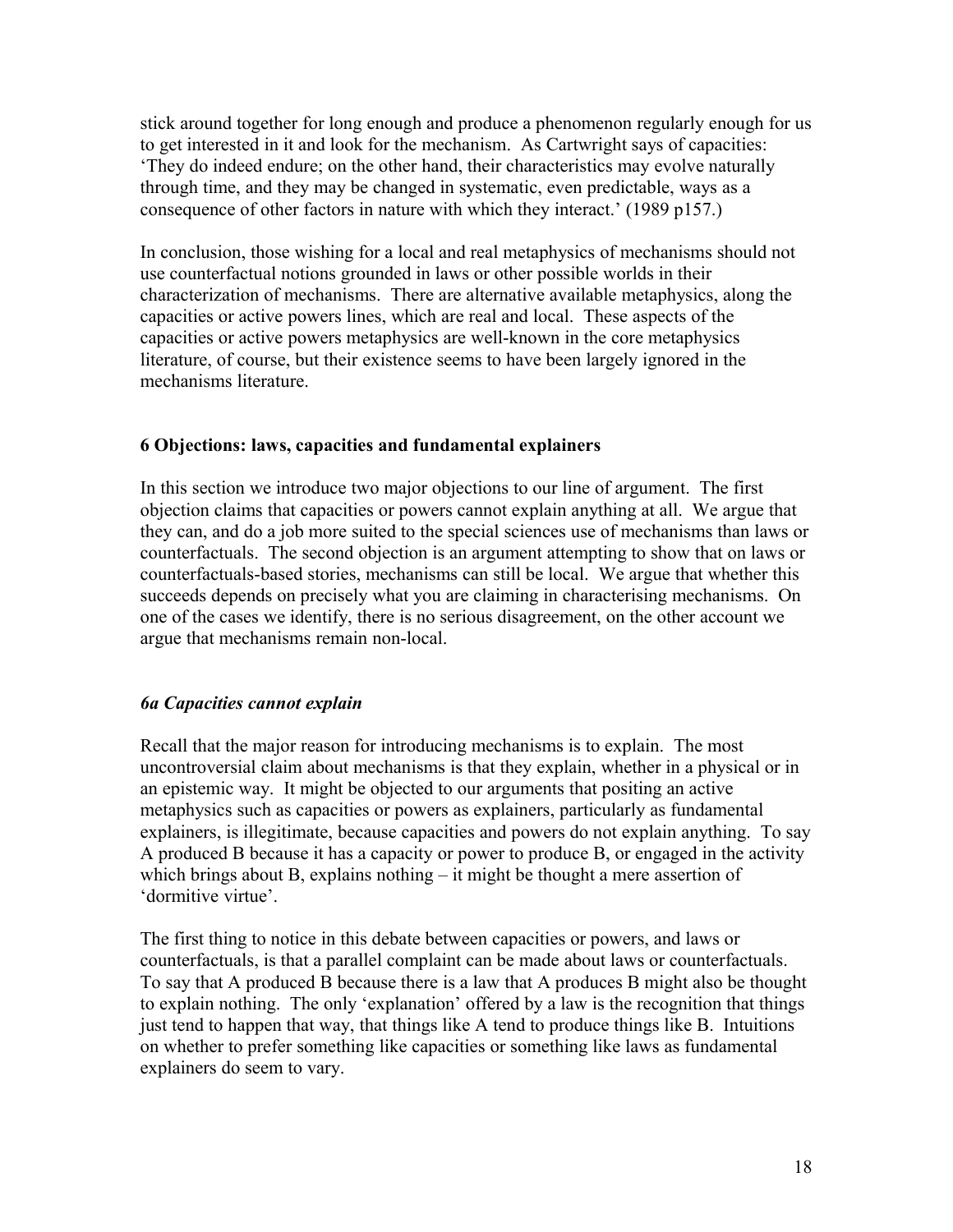stick around together for long enough and produce a phenomenon regularly enough for us to get interested in it and look for the mechanism. As Cartwright says of capacities: 'They do indeed endure; on the other hand, their characteristics may evolve naturally through time, and they may be changed in systematic, even predictable, ways as a consequence of other factors in nature with which they interact.' (1989 p157.)

In conclusion, those wishing for a local and real metaphysics of mechanisms should not use counterfactual notions grounded in laws or other possible worlds in their characterization of mechanisms. There are alternative available metaphysics, along the capacities or active powers lines, which are real and local. These aspects of the capacities or active powers metaphysics are well-known in the core metaphysics literature, of course, but their existence seems to have been largely ignored in the mechanisms literature.

# **6 Objections: laws, capacities and fundamental explainers**

In this section we introduce two major objections to our line of argument. The first objection claims that capacities or powers cannot explain anything at all. We argue that they can, and do a job more suited to the special sciences use of mechanisms than laws or counterfactuals. The second objection is an argument attempting to show that on laws or counterfactuals-based stories, mechanisms can still be local. We argue that whether this succeeds depends on precisely what you are claiming in characterising mechanisms. On one of the cases we identify, there is no serious disagreement, on the other account we argue that mechanisms remain non-local.

# *6a Capacities cannot explain*

Recall that the major reason for introducing mechanisms is to explain. The most uncontroversial claim about mechanisms is that they explain, whether in a physical or in an epistemic way. It might be objected to our arguments that positing an active metaphysics such as capacities or powers as explainers, particularly as fundamental explainers, is illegitimate, because capacities and powers do not explain anything. To say A produced B because it has a capacity or power to produce B, or engaged in the activity which brings about B, explains nothing – it might be thought a mere assertion of 'dormitive virtue'.

The first thing to notice in this debate between capacities or powers, and laws or counterfactuals, is that a parallel complaint can be made about laws or counterfactuals. To say that A produced B because there is a law that A produces B might also be thought to explain nothing. The only 'explanation' offered by a law is the recognition that things just tend to happen that way, that things like A tend to produce things like B. Intuitions on whether to prefer something like capacities or something like laws as fundamental explainers do seem to vary.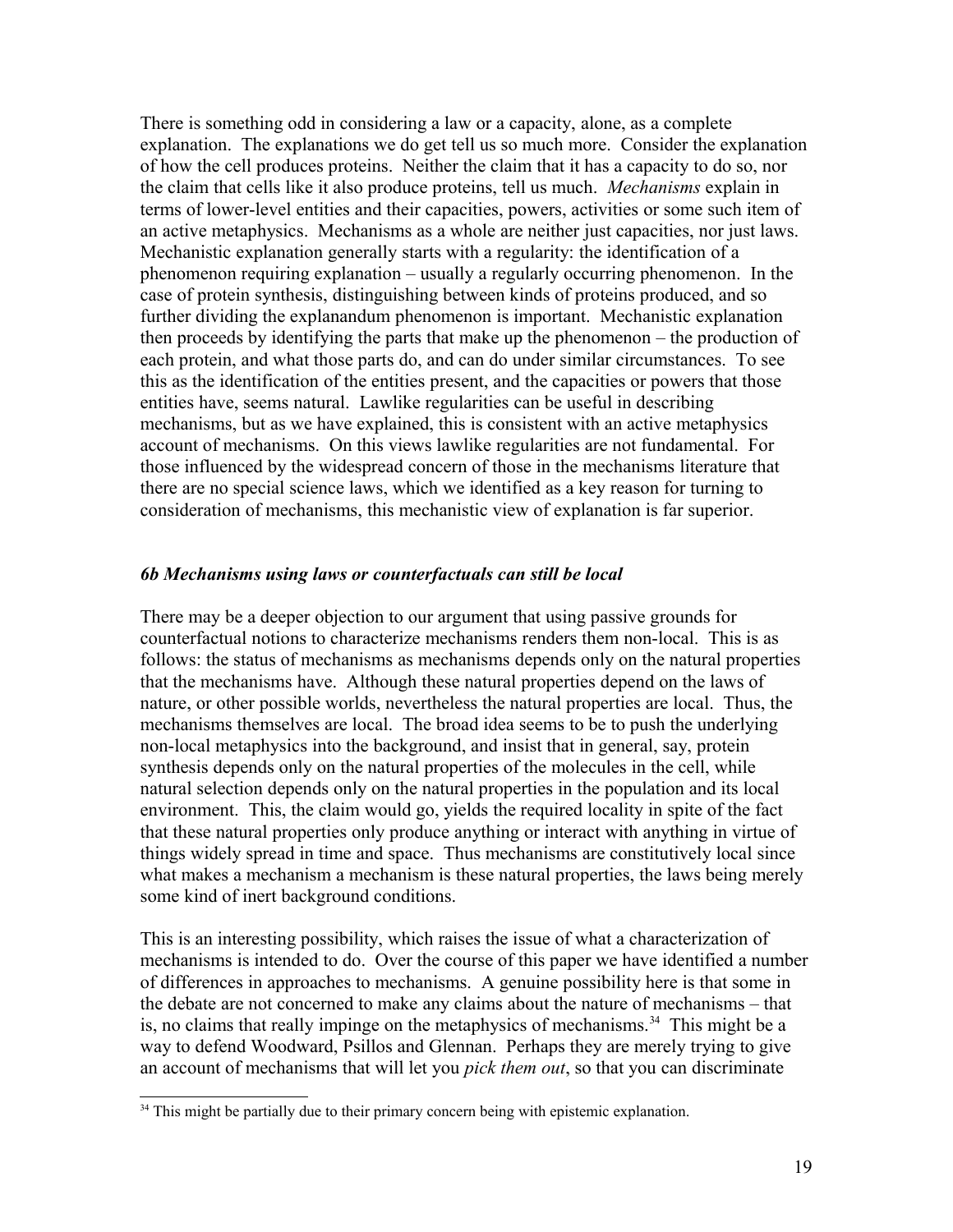There is something odd in considering a law or a capacity, alone, as a complete explanation. The explanations we do get tell us so much more. Consider the explanation of how the cell produces proteins. Neither the claim that it has a capacity to do so, nor the claim that cells like it also produce proteins, tell us much. *Mechanisms* explain in terms of lower-level entities and their capacities, powers, activities or some such item of an active metaphysics. Mechanisms as a whole are neither just capacities, nor just laws. Mechanistic explanation generally starts with a regularity: the identification of a phenomenon requiring explanation – usually a regularly occurring phenomenon. In the case of protein synthesis, distinguishing between kinds of proteins produced, and so further dividing the explanandum phenomenon is important. Mechanistic explanation then proceeds by identifying the parts that make up the phenomenon – the production of each protein, and what those parts do, and can do under similar circumstances. To see this as the identification of the entities present, and the capacities or powers that those entities have, seems natural. Lawlike regularities can be useful in describing mechanisms, but as we have explained, this is consistent with an active metaphysics account of mechanisms. On this views lawlike regularities are not fundamental. For those influenced by the widespread concern of those in the mechanisms literature that there are no special science laws, which we identified as a key reason for turning to consideration of mechanisms, this mechanistic view of explanation is far superior.

### *6b Mechanisms using laws or counterfactuals can still be local*

There may be a deeper objection to our argument that using passive grounds for counterfactual notions to characterize mechanisms renders them non-local. This is as follows: the status of mechanisms as mechanisms depends only on the natural properties that the mechanisms have. Although these natural properties depend on the laws of nature, or other possible worlds, nevertheless the natural properties are local. Thus, the mechanisms themselves are local. The broad idea seems to be to push the underlying non-local metaphysics into the background, and insist that in general, say, protein synthesis depends only on the natural properties of the molecules in the cell, while natural selection depends only on the natural properties in the population and its local environment. This, the claim would go, yields the required locality in spite of the fact that these natural properties only produce anything or interact with anything in virtue of things widely spread in time and space. Thus mechanisms are constitutively local since what makes a mechanism a mechanism is these natural properties, the laws being merely some kind of inert background conditions.

This is an interesting possibility, which raises the issue of what a characterization of mechanisms is intended to do. Over the course of this paper we have identified a number of differences in approaches to mechanisms. A genuine possibility here is that some in the debate are not concerned to make any claims about the nature of mechanisms – that is, no claims that really impinge on the metaphysics of mechanisms.<sup>[34](#page-18-0)</sup> This might be a way to defend Woodward, Psillos and Glennan. Perhaps they are merely trying to give an account of mechanisms that will let you *pick them out*, so that you can discriminate

<span id="page-18-0"></span><sup>&</sup>lt;sup>34</sup> This might be partially due to their primary concern being with epistemic explanation.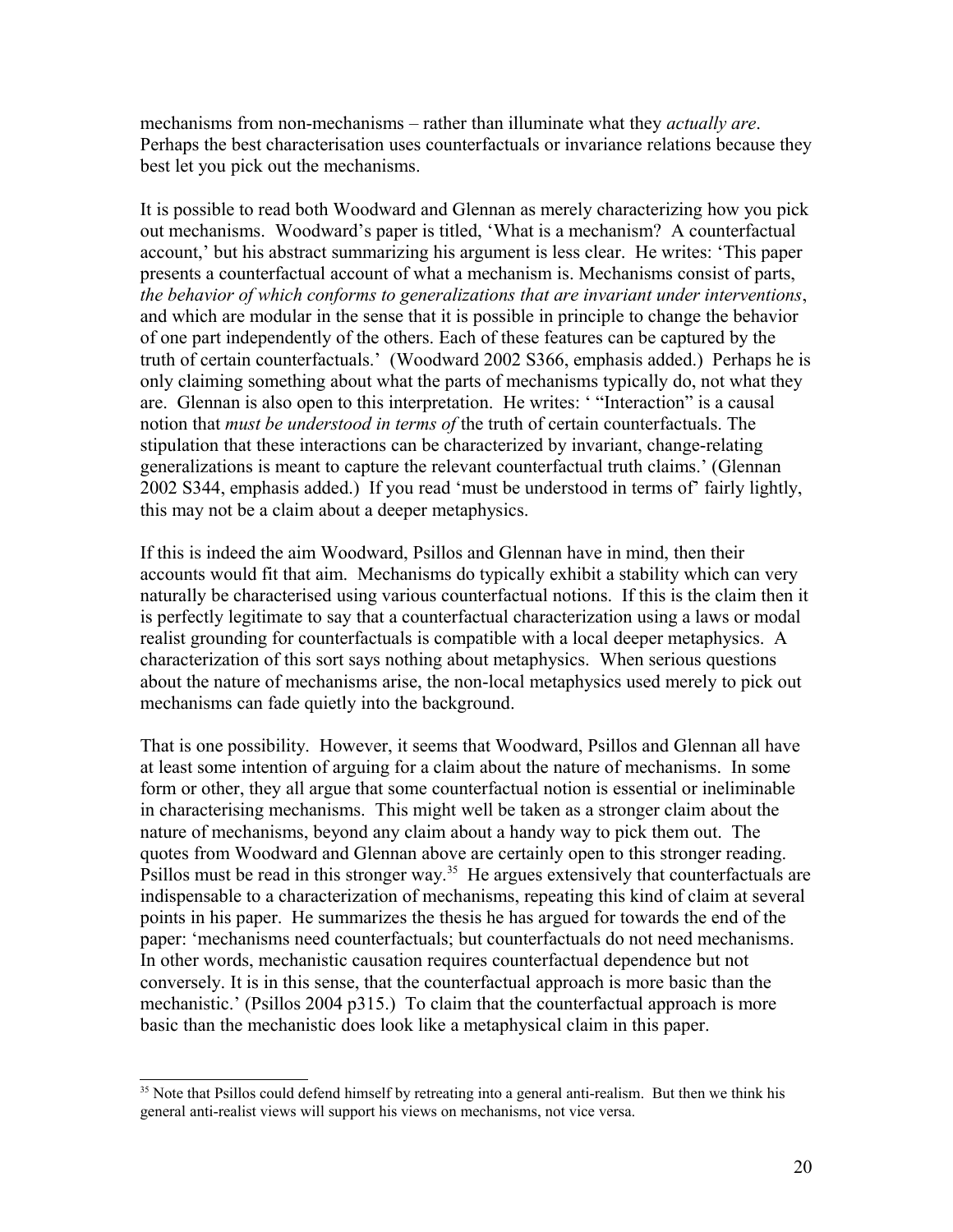mechanisms from non-mechanisms – rather than illuminate what they *actually are*. Perhaps the best characterisation uses counterfactuals or invariance relations because they best let you pick out the mechanisms.

It is possible to read both Woodward and Glennan as merely characterizing how you pick out mechanisms. Woodward's paper is titled, 'What is a mechanism? A counterfactual account,' but his abstract summarizing his argument is less clear. He writes: 'This paper presents a counterfactual account of what a mechanism is. Mechanisms consist of parts, *the behavior of which conforms to generalizations that are invariant under interventions*, and which are modular in the sense that it is possible in principle to change the behavior of one part independently of the others. Each of these features can be captured by the truth of certain counterfactuals.' (Woodward 2002 S366, emphasis added.) Perhaps he is only claiming something about what the parts of mechanisms typically do, not what they are. Glennan is also open to this interpretation. He writes: ' "Interaction" is a causal notion that *must be understood in terms of* the truth of certain counterfactuals. The stipulation that these interactions can be characterized by invariant, change-relating generalizations is meant to capture the relevant counterfactual truth claims.' (Glennan 2002 S344, emphasis added.) If you read 'must be understood in terms of' fairly lightly, this may not be a claim about a deeper metaphysics.

If this is indeed the aim Woodward, Psillos and Glennan have in mind, then their accounts would fit that aim. Mechanisms do typically exhibit a stability which can very naturally be characterised using various counterfactual notions. If this is the claim then it is perfectly legitimate to say that a counterfactual characterization using a laws or modal realist grounding for counterfactuals is compatible with a local deeper metaphysics. A characterization of this sort says nothing about metaphysics. When serious questions about the nature of mechanisms arise, the non-local metaphysics used merely to pick out mechanisms can fade quietly into the background.

That is one possibility. However, it seems that Woodward, Psillos and Glennan all have at least some intention of arguing for a claim about the nature of mechanisms. In some form or other, they all argue that some counterfactual notion is essential or ineliminable in characterising mechanisms. This might well be taken as a stronger claim about the nature of mechanisms, beyond any claim about a handy way to pick them out. The quotes from Woodward and Glennan above are certainly open to this stronger reading. Psillos must be read in this stronger way.<sup>[35](#page-19-0)</sup> He argues extensively that counterfactuals are indispensable to a characterization of mechanisms, repeating this kind of claim at several points in his paper. He summarizes the thesis he has argued for towards the end of the paper: 'mechanisms need counterfactuals; but counterfactuals do not need mechanisms. In other words, mechanistic causation requires counterfactual dependence but not conversely. It is in this sense, that the counterfactual approach is more basic than the mechanistic.' (Psillos 2004 p315.) To claim that the counterfactual approach is more basic than the mechanistic does look like a metaphysical claim in this paper.

<span id="page-19-0"></span><sup>&</sup>lt;sup>35</sup> Note that Psillos could defend himself by retreating into a general anti-realism. But then we think his general anti-realist views will support his views on mechanisms, not vice versa.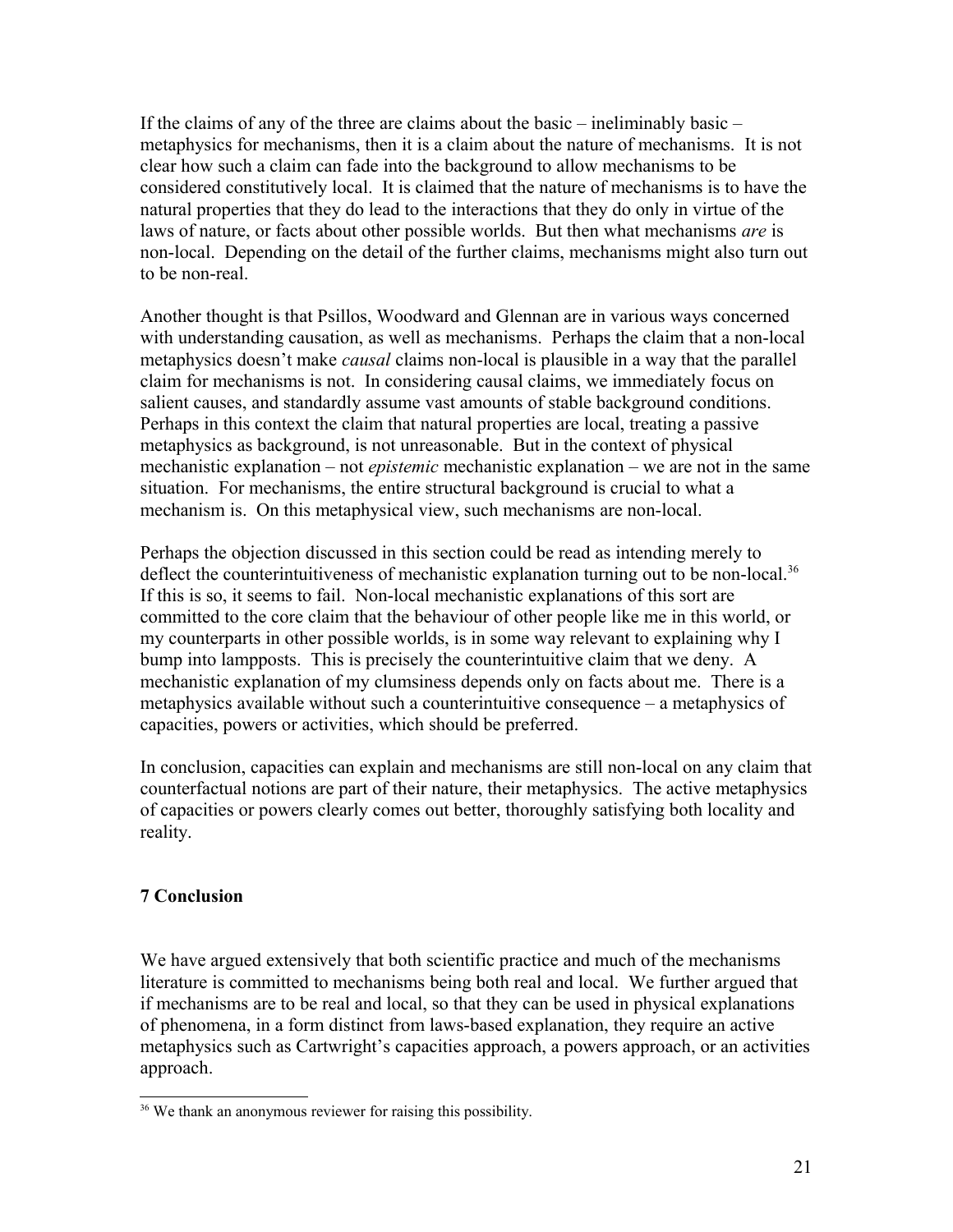If the claims of any of the three are claims about the basic – ineliminably basic – metaphysics for mechanisms, then it is a claim about the nature of mechanisms. It is not clear how such a claim can fade into the background to allow mechanisms to be considered constitutively local. It is claimed that the nature of mechanisms is to have the natural properties that they do lead to the interactions that they do only in virtue of the laws of nature, or facts about other possible worlds. But then what mechanisms *are* is non-local. Depending on the detail of the further claims, mechanisms might also turn out to be non-real.

Another thought is that Psillos, Woodward and Glennan are in various ways concerned with understanding causation, as well as mechanisms. Perhaps the claim that a non-local metaphysics doesn't make *causal* claims non-local is plausible in a way that the parallel claim for mechanisms is not. In considering causal claims, we immediately focus on salient causes, and standardly assume vast amounts of stable background conditions. Perhaps in this context the claim that natural properties are local, treating a passive metaphysics as background, is not unreasonable. But in the context of physical mechanistic explanation – not *epistemic* mechanistic explanation – we are not in the same situation. For mechanisms, the entire structural background is crucial to what a mechanism is. On this metaphysical view, such mechanisms are non-local.

Perhaps the objection discussed in this section could be read as intending merely to deflect the counterintuitiveness of mechanistic explanation turning out to be non-local.<sup>[36](#page-20-0)</sup> If this is so, it seems to fail. Non-local mechanistic explanations of this sort are committed to the core claim that the behaviour of other people like me in this world, or my counterparts in other possible worlds, is in some way relevant to explaining why I bump into lampposts. This is precisely the counterintuitive claim that we deny. A mechanistic explanation of my clumsiness depends only on facts about me. There is a metaphysics available without such a counterintuitive consequence – a metaphysics of capacities, powers or activities, which should be preferred.

In conclusion, capacities can explain and mechanisms are still non-local on any claim that counterfactual notions are part of their nature, their metaphysics. The active metaphysics of capacities or powers clearly comes out better, thoroughly satisfying both locality and reality.

# **7 Conclusion**

We have argued extensively that both scientific practice and much of the mechanisms literature is committed to mechanisms being both real and local. We further argued that if mechanisms are to be real and local, so that they can be used in physical explanations of phenomena, in a form distinct from laws-based explanation, they require an active metaphysics such as Cartwright's capacities approach, a powers approach, or an activities approach.

<span id="page-20-0"></span><sup>&</sup>lt;sup>36</sup> We thank an anonymous reviewer for raising this possibility.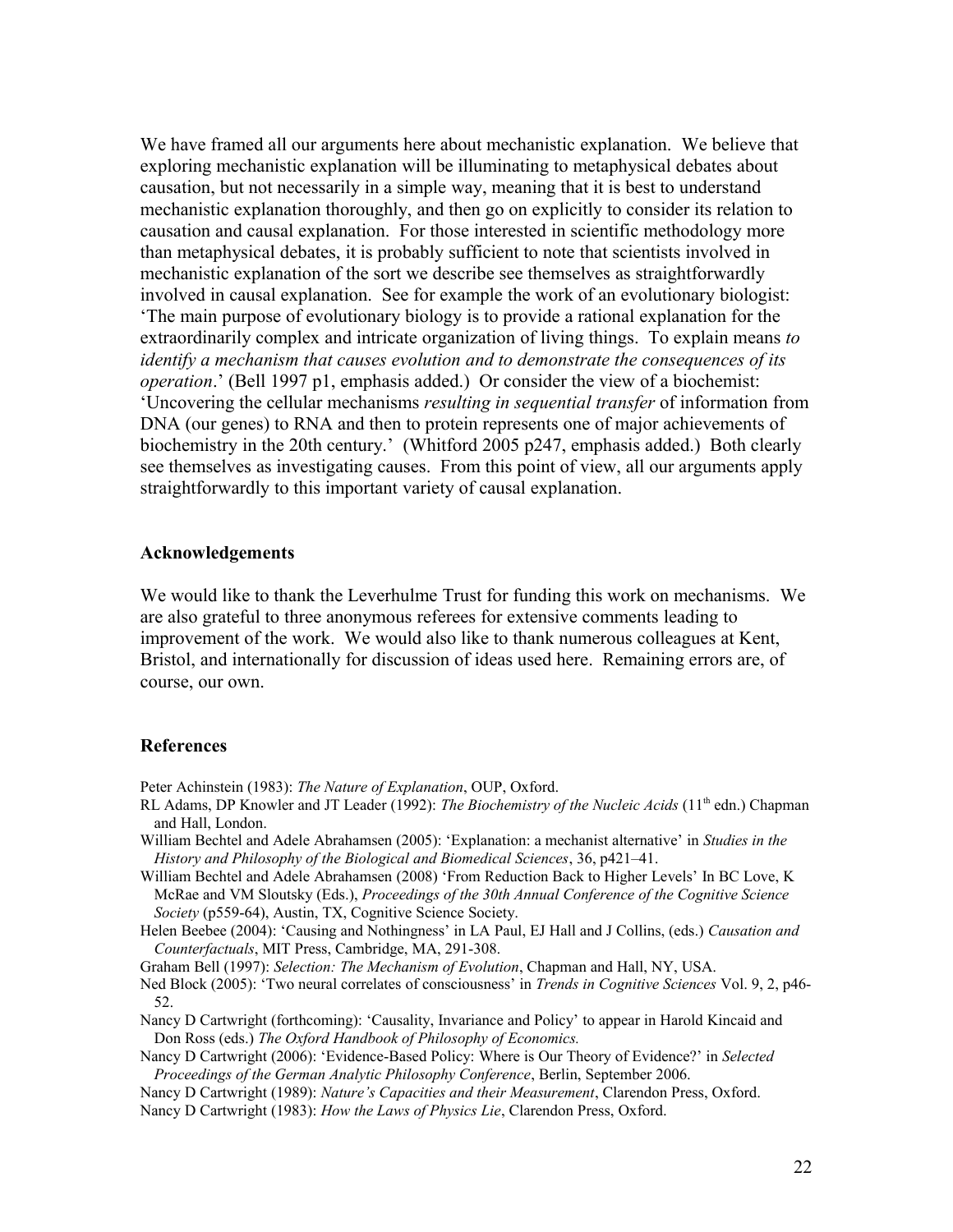We have framed all our arguments here about mechanistic explanation. We believe that exploring mechanistic explanation will be illuminating to metaphysical debates about causation, but not necessarily in a simple way, meaning that it is best to understand mechanistic explanation thoroughly, and then go on explicitly to consider its relation to causation and causal explanation. For those interested in scientific methodology more than metaphysical debates, it is probably sufficient to note that scientists involved in mechanistic explanation of the sort we describe see themselves as straightforwardly involved in causal explanation. See for example the work of an evolutionary biologist: 'The main purpose of evolutionary biology is to provide a rational explanation for the extraordinarily complex and intricate organization of living things. To explain means *to identify a mechanism that causes evolution and to demonstrate the consequences of its operation*.' (Bell 1997 p1, emphasis added.) Or consider the view of a biochemist: 'Uncovering the cellular mechanisms *resulting in sequential transfer* of information from DNA (our genes) to RNA and then to protein represents one of major achievements of biochemistry in the 20th century.' (Whitford 2005 p247, emphasis added.) Both clearly see themselves as investigating causes. From this point of view, all our arguments apply straightforwardly to this important variety of causal explanation.

#### **Acknowledgements**

We would like to thank the Leverhulme Trust for funding this work on mechanisms. We are also grateful to three anonymous referees for extensive comments leading to improvement of the work. We would also like to thank numerous colleagues at Kent, Bristol, and internationally for discussion of ideas used here. Remaining errors are, of course, our own.

#### **References**

Peter Achinstein (1983): *The Nature of Explanation*, OUP, Oxford.

- RL Adams, DP Knowler and JT Leader (1992): *The Biochemistry of the Nucleic Acids* (11<sup>th</sup> edn.) Chapman and Hall, London.
- William Bechtel and Adele Abrahamsen (2005): 'Explanation: a mechanist alternative' in *Studies in the History and Philosophy of the Biological and Biomedical Sciences*, 36, p421–41.

William Bechtel and Adele Abrahamsen (2008) 'From Reduction Back to Higher Levels' In BC Love, K McRae and VM Sloutsky (Eds.), *Proceedings of the 30th Annual Conference of the Cognitive Science Society* (p559-64), Austin, TX, Cognitive Science Society.

Helen Beebee (2004): 'Causing and Nothingness' in LA Paul, EJ Hall and J Collins, (eds.) *Causation and Counterfactuals*, MIT Press, Cambridge, MA, 291-308.

Graham Bell (1997): *Selection: The Mechanism of Evolution*, Chapman and Hall, NY, USA.

- Ned Block (2005): 'Two neural correlates of consciousness' in *Trends in Cognitive Sciences* Vol. 9, 2, p46- 52.
- Nancy D Cartwright (forthcoming): 'Causality, Invariance and Policy' to appear in Harold Kincaid and Don Ross (eds.) *The Oxford Handbook of Philosophy of Economics.*
- Nancy D Cartwright (2006): 'Evidence-Based Policy: Where is Our Theory of Evidence?' in *Selected Proceedings of the German Analytic Philosophy Conference*, Berlin, September 2006.
- Nancy D Cartwright (1989): *Nature's Capacities and their Measurement*, Clarendon Press, Oxford. Nancy D Cartwright (1983): *How the Laws of Physics Lie*, Clarendon Press, Oxford.